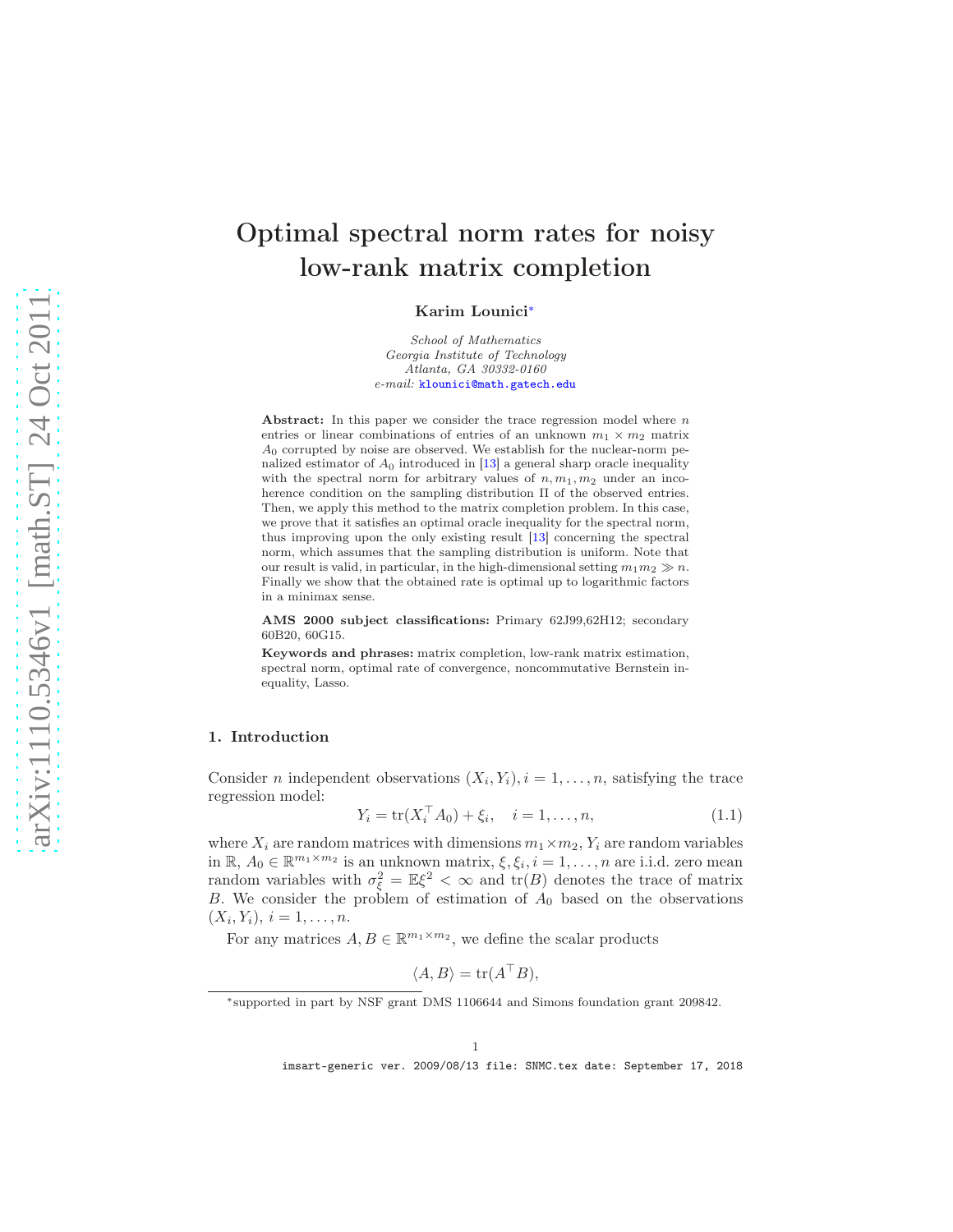# Optimal spectral norm rates for noisy low-rank matrix completion

Karim Lounici[∗](#page-0-0)

*School of Mathematics Georgia Institute of Technology Atlanta, GA 30332-0160 e-mail:* [klounici@math.gatech.edu](mailto:klounici@math.gatech.edu)

Abstract: In this paper we consider the trace regression model where  $n$ entries or linear combinations of entries of an unknown  $m_1 \times m_2$  matrix  $A<sub>0</sub>$  corrupted by noise are observed. We establish for the nuclear-norm penalized estimator of  $A_0$  introduced in [\[13\]](#page-15-0) a general sharp oracle inequality with the spectral norm for arbitrary values of  $n, m_1, m_2$  under an incoherence condition on the sampling distribution Π of the observed entries. Then, we apply this method to the matrix completion problem. In this case, we prove that it satisfies an optimal oracle inequality for the spectral norm, thus improving upon the only existing result [\[13\]](#page-15-0) concerning the spectral norm, which assumes that the sampling distribution is uniform. Note that our result is valid, in particular, in the high-dimensional setting  $m_1m_2 \gg n$ . Finally we show that the obtained rate is optimal up to logarithmic factors in a minimax sense.

AMS 2000 subject classifications: Primary 62J99,62H12; secondary 60B20, 60G15.

Keywords and phrases: matrix completion, low-rank matrix estimation, spectral norm, optimal rate of convergence, noncommutative Bernstein inequality, Lasso.

#### 1. Introduction

Consider *n* independent observations  $(X_i, Y_i), i = 1, \ldots, n$ , satisfying the trace regression model:

$$
Y_i = \text{tr}(X_i^\top A_0) + \xi_i, \quad i = 1, \dots, n,
$$
\n(1.1)

where  $X_i$  are random matrices with dimensions  $m_1 \times m_2$ ,  $Y_i$  are random variables in  $\mathbb{R}, A_0 \in \mathbb{R}^{m_1 \times m_2}$  is an unknown matrix,  $\xi, \xi_i, i = 1, ..., n$  are i.i.d. zero mean random variables with  $\sigma_{\xi}^2 = \mathbb{E}\xi^2 < \infty$  and  $\text{tr}(B)$  denotes the trace of matrix B. We consider the problem of estimation of  $A_0$  based on the observations  $(X_i, Y_i), i = 1, \ldots, n.$ 

For any matrices  $A, B \in \mathbb{R}^{m_1 \times m_2}$ , we define the scalar products

$$
\langle A, B \rangle = \text{tr}(A^\top B),
$$

<span id="page-0-0"></span><sup>∗</sup> supported in part by NSF grant DMS 1106644 and Simons foundation grant 209842.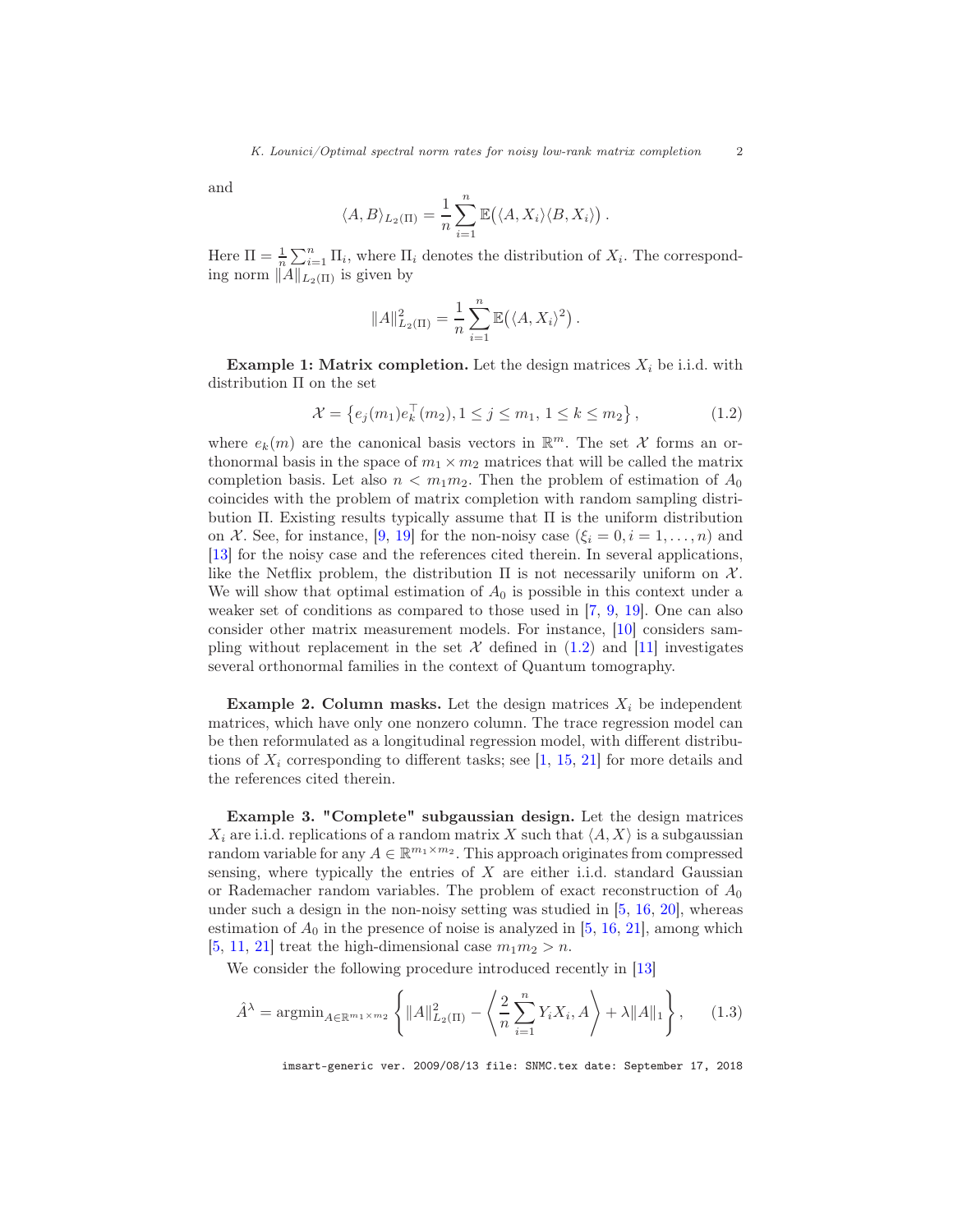and

$$
\langle A, B \rangle_{L_2(\Pi)} = \frac{1}{n} \sum_{i=1}^n \mathbb{E} (\langle A, X_i \rangle \langle B, X_i \rangle).
$$

Here  $\Pi = \frac{1}{n} \sum_{i=1}^{n} \Pi_i$ , where  $\Pi_i$  denotes the distribution of  $X_i$ . The corresponding norm  $||A||_{L_2(\Pi)}$  is given by

$$
||A||_{L_2(\Pi)}^2 = \frac{1}{n} \sum_{i=1}^n \mathbb{E}((A, X_i)^2).
$$

**Example 1: Matrix completion.** Let the design matrices  $X_i$  be i.i.d. with distribution Π on the set

<span id="page-1-0"></span>
$$
\mathcal{X} = \left\{ e_j(m_1) e_k^{\top}(m_2), 1 \le j \le m_1, 1 \le k \le m_2 \right\},\tag{1.2}
$$

where  $e_k(m)$  are the canonical basis vectors in  $\mathbb{R}^m$ . The set X forms an orthonormal basis in the space of  $m_1 \times m_2$  matrices that will be called the matrix completion basis. Let also  $n < m_1 m_2$ . Then the problem of estimation of  $A_0$ coincides with the problem of matrix completion with random sampling distribution  $\Pi$ . Existing results typically assume that  $\Pi$  is the uniform distribution on X. See, for instance, [\[9,](#page-15-1) [19](#page-15-2)] for the non-noisy case  $(\xi_i = 0, i = 1, \ldots, n)$  and [\[13\]](#page-15-0) for the noisy case and the references cited therein. In several applications, like the Netflix problem, the distribution  $\Pi$  is not necessarily uniform on  $\mathcal{X}$ . We will show that optimal estimation of  $A_0$  is possible in this context under a weaker set of conditions as compared to those used in [\[7,](#page-15-3) [9,](#page-15-1) [19](#page-15-2)]. One can also consider other matrix measurement models. For instance, [\[10](#page-15-4)] considers sampling without replacement in the set  $\mathcal X$  defined in [\(1.2\)](#page-1-0) and [\[11](#page-15-5)] investigates several orthonormal families in the context of Quantum tomography.

**Example 2. Column masks.** Let the design matrices  $X_i$  be independent matrices, which have only one nonzero column. The trace regression model can be then reformulated as a longitudinal regression model, with different distributions of  $X_i$  corresponding to different tasks; see [\[1,](#page-15-6) [15,](#page-15-7) [21\]](#page-16-0) for more details and the references cited therein.

Example 3. "Complete" subgaussian design. Let the design matrices  $X_i$  are i.i.d. replications of a random matrix X such that  $\langle A, X \rangle$  is a subgaussian random variable for any  $A \in \mathbb{R}^{m_1 \times m_2}$ . This approach originates from compressed sensing, where typically the entries of  $X$  are either i.i.d. standard Gaussian or Rademacher random variables. The problem of exact reconstruction of  $A_0$ under such a design in the non-noisy setting was studied in  $[5, 16, 20]$  $[5, 16, 20]$  $[5, 16, 20]$  $[5, 16, 20]$  $[5, 16, 20]$ , whereas estimation of  $A_0$  in the presence of noise is analyzed in [\[5,](#page-15-8) [16](#page-15-9), [21](#page-16-0)], among which [\[5,](#page-15-8) [11,](#page-15-5) [21\]](#page-16-0) treat the high-dimensional case  $m_1m_2 > n$ .

We consider the following procedure introduced recently in [\[13](#page-15-0)]

<span id="page-1-1"></span>
$$
\hat{A}^{\lambda} = \operatorname{argmin}_{A \in \mathbb{R}^{m_1 \times m_2}} \left\{ \|A\|_{L_2(\Pi)}^2 - \left\langle \frac{2}{n} \sum_{i=1}^n Y_i X_i, A \right\rangle + \lambda \|A\|_1 \right\},\tag{1.3}
$$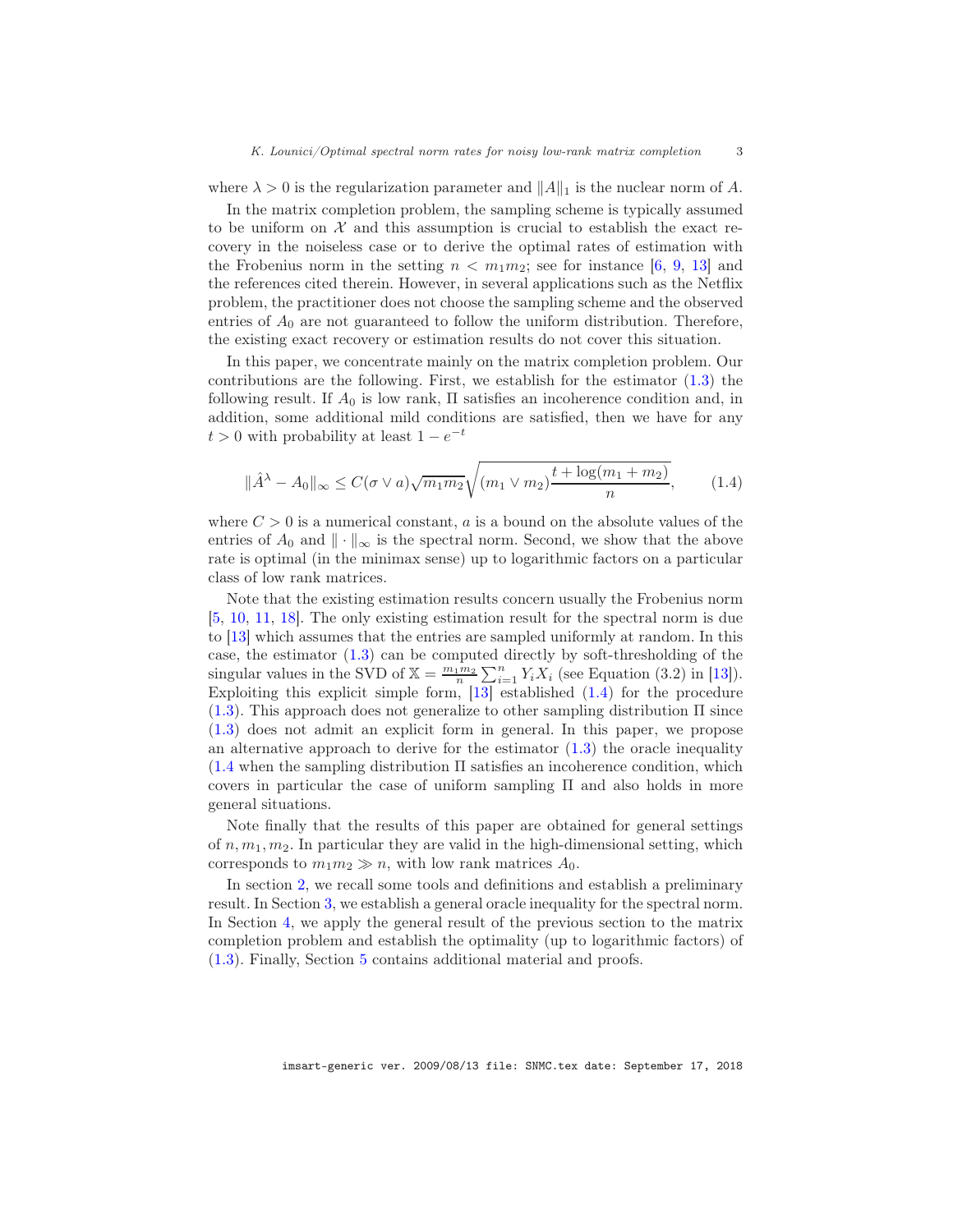where  $\lambda > 0$  is the regularization parameter and  $||A||_1$  is the nuclear norm of A.

In the matrix completion problem, the sampling scheme is typically assumed to be uniform on  $\mathcal X$  and this assumption is crucial to establish the exact recovery in the noiseless case or to derive the optimal rates of estimation with the Frobenius norm in the setting  $n < m_1 m_2$ ; see for instance [\[6,](#page-15-10) [9,](#page-15-1) [13\]](#page-15-0) and the references cited therein. However, in several applications such as the Netflix problem, the practitioner does not choose the sampling scheme and the observed entries of  $A_0$  are not guaranteed to follow the uniform distribution. Therefore, the existing exact recovery or estimation results do not cover this situation.

In this paper, we concentrate mainly on the matrix completion problem. Our contributions are the following. First, we establish for the estimator [\(1.3\)](#page-1-1) the following result. If  $A_0$  is low rank,  $\Pi$  satisfies an incoherence condition and, in addition, some additional mild conditions are satisfied, then we have for any  $t > 0$  with probability at least  $1 - e^{-t}$ 

<span id="page-2-0"></span>
$$
\|\hat{A}^{\lambda} - A_0\|_{\infty} \le C(\sigma \vee a) \sqrt{m_1 m_2} \sqrt{(m_1 \vee m_2) \frac{t + \log(m_1 + m_2)}{n}},\tag{1.4}
$$

where  $C > 0$  is a numerical constant, a is a bound on the absolute values of the entries of  $A_0$  and  $\|\cdot\|_{\infty}$  is the spectral norm. Second, we show that the above rate is optimal (in the minimax sense) up to logarithmic factors on a particular class of low rank matrices.

Note that the existing estimation results concern usually the Frobenius norm [\[5,](#page-15-8) [10,](#page-15-4) [11,](#page-15-5) [18](#page-15-11)]. The only existing estimation result for the spectral norm is due to [\[13](#page-15-0)] which assumes that the entries are sampled uniformly at random. In this case, the estimator [\(1.3\)](#page-1-1) can be computed directly by soft-thresholding of the singular values in the SVD of  $\mathbb{X} = \frac{m_1 m_2}{n} \sum_{i=1}^n Y_i X_i$  (see Equation (3.2) in [\[13](#page-15-0)]). Exploiting this explicit simple form,  $\boxed{13}$  established  $(1.4)$  for the procedure  $(1.3)$ . This approach does not generalize to other sampling distribution  $\Pi$  since [\(1.3\)](#page-1-1) does not admit an explicit form in general. In this paper, we propose an alternative approach to derive for the estimator  $(1.3)$  the oracle inequality [\(1.4](#page-2-0) when the sampling distribution Π satisfies an incoherence condition, which covers in particular the case of uniform sampling Π and also holds in more general situations.

Note finally that the results of this paper are obtained for general settings of  $n, m_1, m_2$ . In particular they are valid in the high-dimensional setting, which corresponds to  $m_1m_2 \gg n$ , with low rank matrices  $A_0$ .

In section [2,](#page-3-0) we recall some tools and definitions and establish a preliminary result. In Section [3,](#page-5-0) we establish a general oracle inequality for the spectral norm. In Section [4,](#page-7-0) we apply the general result of the previous section to the matrix completion problem and establish the optimality (up to logarithmic factors) of [\(1.3\)](#page-1-1). Finally, Section [5](#page-9-0) contains additional material and proofs.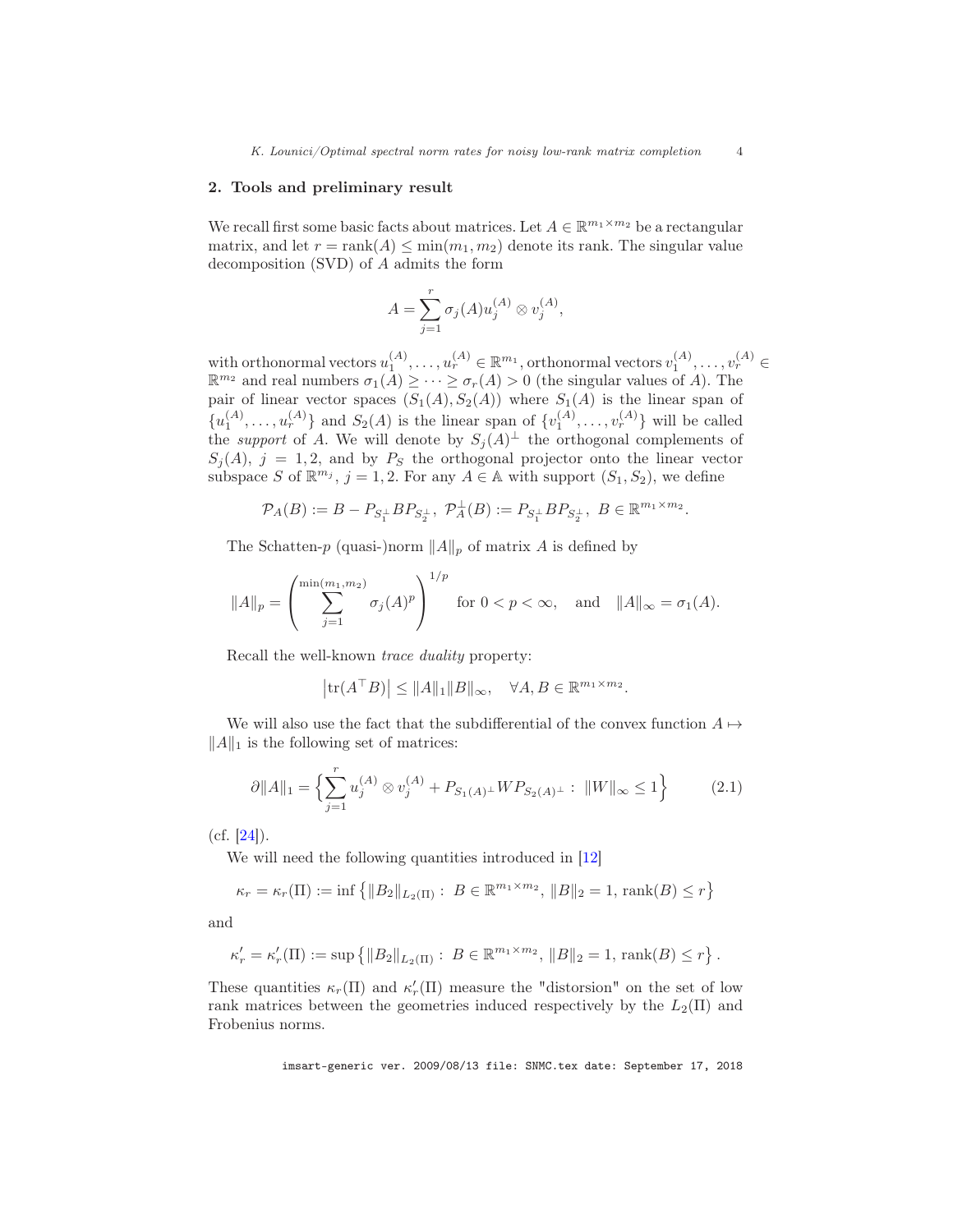#### <span id="page-3-0"></span>2. Tools and preliminary result

We recall first some basic facts about matrices. Let  $A \in \mathbb{R}^{m_1 \times m_2}$  be a rectangular matrix, and let  $r = \text{rank}(A) \leq \min(m_1, m_2)$  denote its rank. The singular value decomposition (SVD) of A admits the form

$$
A = \sum_{j=1}^{r} \sigma_j(A) u_j^{(A)} \otimes v_j^{(A)},
$$

with orthonormal vectors  $u_1^{(A)}, \ldots, u_r^{(A)} \in \mathbb{R}^{m_1}$ , orthonormal vectors  $v_1^{(A)}, \ldots, v_r^{(A)} \in$  $\mathbb{R}^{m_2}$  and real numbers  $\sigma_1(A) \geq \cdots \geq \sigma_r(A) > 0$  (the singular values of A). The pair of linear vector spaces  $(S_1(A), S_2(A))$  where  $S_1(A)$  is the linear span of  $\{u_1^{(A)}, \ldots, u_r^{(A)}\}$  and  $S_2(A)$  is the linear span of  $\{v_1^{(A)}, \ldots, v_r^{(A)}\}$  will be called the *support* of A. We will denote by  $S_j(A)^{\perp}$  the orthogonal complements of  $S_j(A)$ ,  $j = 1, 2$ , and by  $P_S$  the orthogonal projector onto the linear vector subspace S of  $\mathbb{R}^{m_j}$ ,  $j = 1, 2$ . For any  $A \in \mathbb{A}$  with support  $(S_1, S_2)$ , we define

$$
\mathcal{P}_A(B) := B - P_{S_1^{\perp}} B P_{S_2^{\perp}}, \ \mathcal{P}_A^{\perp}(B) := P_{S_1^{\perp}} B P_{S_2^{\perp}}, \ B \in \mathbb{R}^{m_1 \times m_2}.
$$

The Schatten-p (quasi-)norm  $||A||_p$  of matrix A is defined by

$$
||A||_p = \left(\sum_{j=1}^{\min(m_1, m_2)} \sigma_j(A)^p\right)^{1/p} \text{ for } 0 < p < \infty, \text{ and } ||A||_{\infty} = \sigma_1(A).
$$

Recall the well-known trace duality property:

$$
\left|\text{tr}(A^{\top}B)\right| \leq \|A\|_1 \|B\|_{\infty}, \quad \forall A, B \in \mathbb{R}^{m_1 \times m_2}.
$$

We will also use the fact that the subdifferential of the convex function  $A \mapsto$  $||A||_1$  is the following set of matrices:

$$
\partial \|A\|_1 = \left\{ \sum_{j=1}^r u_j^{(A)} \otimes v_j^{(A)} + P_{S_1(A)^{\perp}} W P_{S_2(A)^{\perp}} : \|W\|_{\infty} \le 1 \right\}
$$
 (2.1)

 $(cf. [24]).$  $(cf. [24]).$  $(cf. [24]).$ 

We will need the following quantities introduced in [\[12](#page-15-12)]

$$
\kappa_r = \kappa_r(\Pi) := \inf \left\{ \|B_2\|_{L_2(\Pi)} : B \in \mathbb{R}^{m_1 \times m_2}, \|B\|_2 = 1, \text{rank}(B) \le r \right\}
$$

and

$$
\kappa'_{r} = \kappa'_{r}(\Pi) := \sup \left\{ \|B_{2}\|_{L_{2}(\Pi)} : B \in \mathbb{R}^{m_{1} \times m_{2}}, \|B\|_{2} = 1, \text{ rank}(B) \leq r \right\}.
$$

These quantities  $\kappa_r(\Pi)$  and  $\kappa'_r(\Pi)$  measure the "distorsion" on the set of low rank matrices between the geometries induced respectively by the  $L_2(\Pi)$  and Frobenius norms.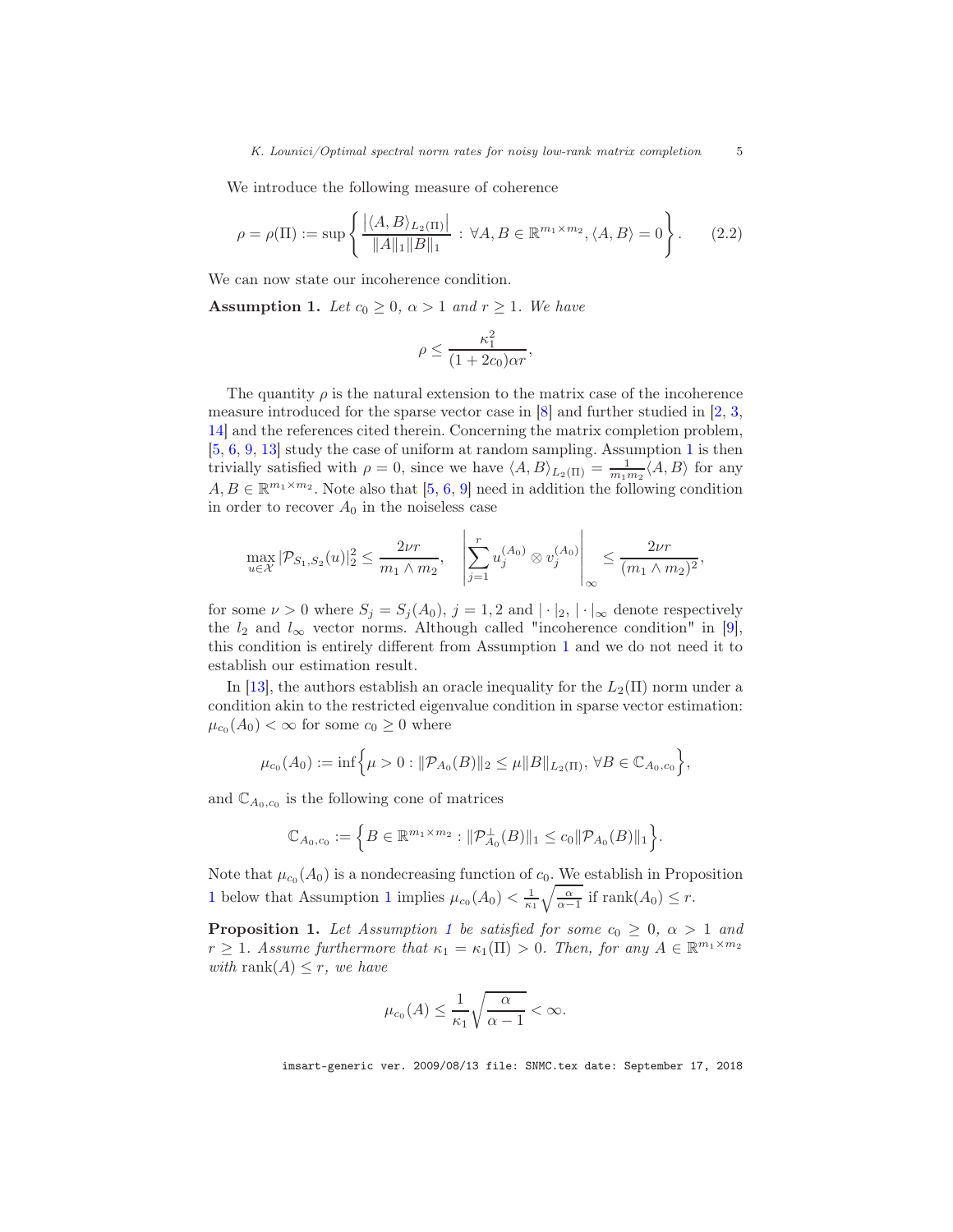We introduce the following measure of coherence

$$
\rho = \rho(\Pi) := \sup \left\{ \frac{|\langle A, B \rangle_{L_2(\Pi)}|}{\|A\|_1 \|B\|_1} : \forall A, B \in \mathbb{R}^{m_1 \times m_2}, \langle A, B \rangle = 0 \right\}.
$$
 (2.2)

We can now state our incoherence condition.

<span id="page-4-0"></span>**Assumption 1.** Let  $c_0 \geq 0$ ,  $\alpha > 1$  and  $r \geq 1$ . We have

$$
\rho \le \frac{\kappa_1^2}{(1+2c_0)\alpha r},
$$

The quantity  $\rho$  is the natural extension to the matrix case of the incoherence measure introduced for the sparse vector case in  $[8]$  and further studied in  $[2, 3, 3]$  $[2, 3, 3]$  $[2, 3, 3]$ [14\]](#page-15-16) and the references cited therein. Concerning the matrix completion problem, [\[5,](#page-15-8) [6,](#page-15-10) [9](#page-15-1), [13\]](#page-15-0) study the case of uniform at random sampling. Assumption [1](#page-4-0) is then trivially satisfied with  $\rho = 0$ , since we have  $\langle A, B \rangle_{L_2(\Pi)} = \frac{1}{m_1 m_2} \langle A, B \rangle$  for any  $A, B \in \mathbb{R}^{m_1 \times m_2}$ . Note also that [\[5](#page-15-8), [6,](#page-15-10) [9\]](#page-15-1) need in addition the following condition in order to recover  $A_0$  in the noiseless case

$$
\max_{u \in \mathcal{X}} |\mathcal{P}_{S_1, S_2}(u)|_2^2 \le \frac{2\nu r}{m_1 \wedge m_2}, \quad \left| \sum_{j=1}^r u_j^{(A_0)} \otimes v_j^{(A_0)} \right|_{\infty} \le \frac{2\nu r}{(m_1 \wedge m_2)^2},
$$

for some  $\nu > 0$  where  $S_j = S_j(A_0), j = 1, 2$  and  $|\cdot|_2, |\cdot|_\infty$  denote respectively the  $l_2$  and  $l_{\infty}$  vector norms. Although called "incoherence condition" in [\[9\]](#page-15-1), this condition is entirely different from Assumption [1](#page-4-0) and we do not need it to establish our estimation result.

In [\[13\]](#page-15-0), the authors establish an oracle inequality for the  $L_2(\Pi)$  norm under a condition akin to the restricted eigenvalue condition in sparse vector estimation:  $\mu_{c_0}(A_0) < \infty$  for some  $c_0 \geq 0$  where

$$
\mu_{c_0}(A_0) := \inf \Big\{ \mu > 0 : ||\mathcal{P}_{A_0}(B)||_2 \leq \mu ||B||_{L_2(\Pi)}, \forall B \in \mathbb{C}_{A_0, c_0} \Big\},\
$$

and  $\mathbb{C}_{A_0,c_0}$  is the following cone of matrices

$$
\mathbb{C}_{A_0,c_0} := \left\{ B \in \mathbb{R}^{m_1 \times m_2} : ||\mathcal{P}_{A_0}^{\perp}(B)||_1 \leq c_0 ||\mathcal{P}_{A_0}(B)||_1 \right\}.
$$

Note that  $\mu_{c_0}(A_0)$  is a nondecreasing function of  $c_0$ . We establish in Proposition [1](#page-4-0) below that Assumption 1 implies  $\mu_{c_0}(A_0) < \frac{1}{\kappa_1} \sqrt{\frac{\alpha}{\alpha-1}}$  if rank $(A_0) \leq r$ .

<span id="page-4-1"></span>**Proposition [1](#page-4-0).** Let Assumption 1 be satisfied for some  $c_0 \geq 0$ ,  $\alpha > 1$  and  $r \geq 1$ . Assume furthermore that  $\kappa_1 = \kappa_1(\Pi) > 0$ . Then, for any  $A \in \mathbb{R}^{m_1 \times m_2}$ with rank $(A) \leq r$ , we have

$$
\mu_{c_0}(A) \le \frac{1}{\kappa_1} \sqrt{\frac{\alpha}{\alpha - 1}} < \infty.
$$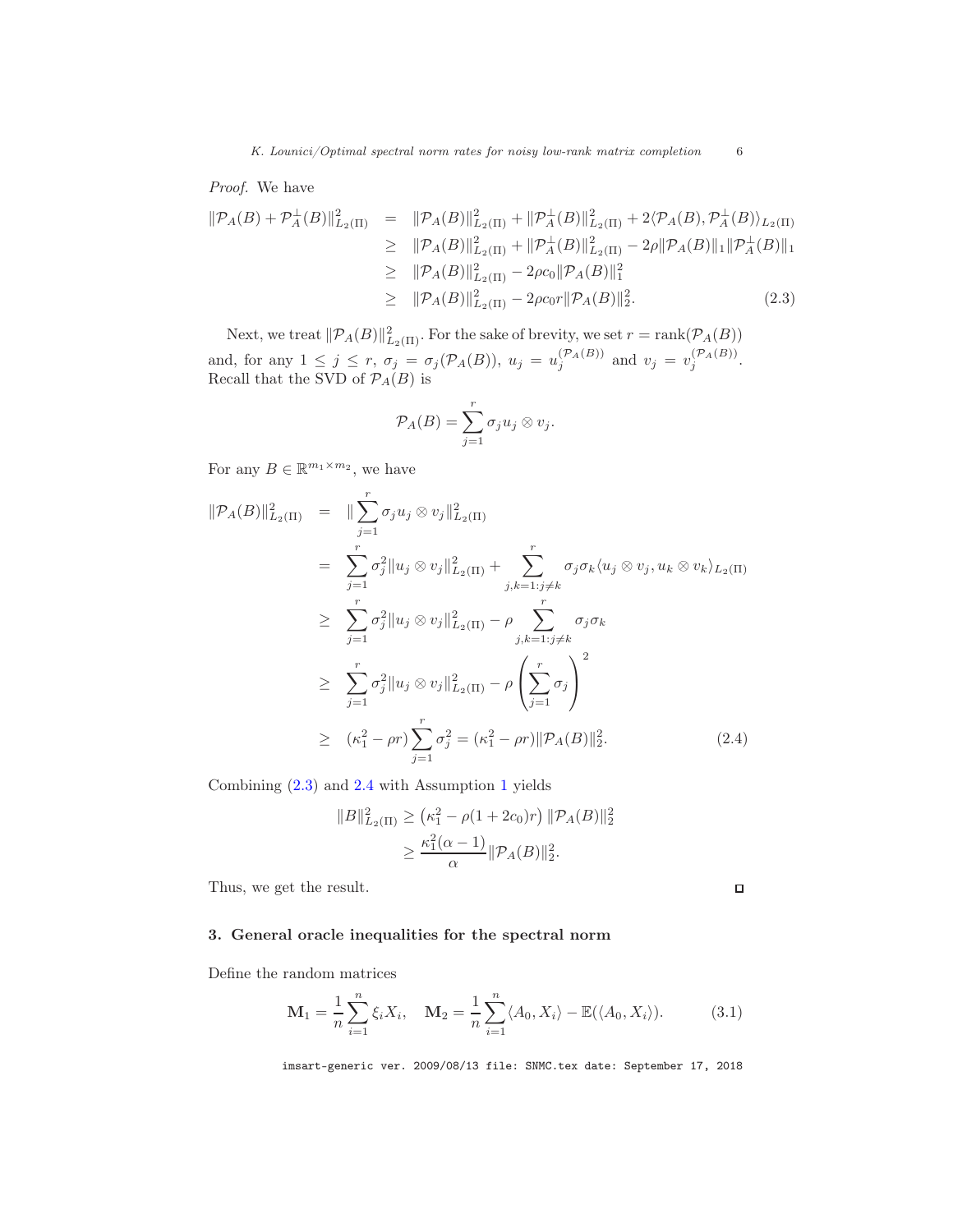*K. Lounici/Optimal spectral norm rates for noisy low-rank matrix completion* 6

Proof. We have

<span id="page-5-1"></span>
$$
\|\mathcal{P}_A(B) + \mathcal{P}_A^{\perp}(B)\|_{L_2(\Pi)}^2 = \|\mathcal{P}_A(B)\|_{L_2(\Pi)}^2 + \|\mathcal{P}_A^{\perp}(B)\|_{L_2(\Pi)}^2 + 2\langle \mathcal{P}_A(B), \mathcal{P}_A^{\perp}(B)\rangle_{L_2(\Pi)} \geq \|\mathcal{P}_A(B)\|_{L_2(\Pi)}^2 + \|\mathcal{P}_A^{\perp}(B)\|_{L_2(\Pi)}^2 - 2\rho \|\mathcal{P}_A(B)\|_1 \|\mathcal{P}_A^{\perp}(B)\|_1 \geq \|\mathcal{P}_A(B)\|_{L_2(\Pi)}^2 - 2\rho c_0 \|\mathcal{P}_A(B)\|_1^2 \geq \|\mathcal{P}_A(B)\|_{L_2(\Pi)}^2 - 2\rho c_0 r \|\mathcal{P}_A(B)\|_2^2.
$$
 (2.3)

Next, we treat  $\|\mathcal{P}_A(B)\|_{L_2(\Pi)}^2$ . For the sake of brevity, we set  $r = \text{rank}(\mathcal{P}_A(B))$ and, for any  $1 \leq j \leq r$ ,  $\sigma_j = \sigma_j(\mathcal{P}_A(B))$ ,  $u_j = u_j^{(\mathcal{P}_A(B))}$  and  $v_j = v_j^{(\mathcal{P}_A(B))}$ . Recall that the SVD of  $\mathcal{P}_A(B)$  is

$$
\mathcal{P}_A(B) = \sum_{j=1}^r \sigma_j u_j \otimes v_j.
$$

For any  $B \in \mathbb{R}^{m_1 \times m_2}$ , we have

<span id="page-5-2"></span>
$$
\|\mathcal{P}_A(B)\|_{L_2(\Pi)}^2 = \|\sum_{j=1}^r \sigma_j u_j \otimes v_j\|_{L_2(\Pi)}^2 \n= \sum_{j=1}^r \sigma_j^2 \|u_j \otimes v_j\|_{L_2(\Pi)}^2 + \sum_{j,k=1:j\neq k}^r \sigma_j \sigma_k \langle u_j \otimes v_j, u_k \otimes v_k \rangle_{L_2(\Pi)} \n\geq \sum_{j=1}^r \sigma_j^2 \|u_j \otimes v_j\|_{L_2(\Pi)}^2 - \rho \sum_{j,k=1:j\neq k}^r \sigma_j \sigma_k \n\geq \sum_{j=1}^r \sigma_j^2 \|u_j \otimes v_j\|_{L_2(\Pi)}^2 - \rho \left(\sum_{j=1}^r \sigma_j\right)^2 \n\geq (\kappa_1^2 - \rho r) \sum_{j=1}^r \sigma_j^2 = (\kappa_1^2 - \rho r) \|\mathcal{P}_A(B)\|_2^2.
$$
\n(2.4)

Combining [\(2.3\)](#page-5-1) and [2.4](#page-5-2) with Assumption [1](#page-4-0) yields

$$
||B||_{L_2(\Pi)}^2 \ge (\kappa_1^2 - \rho(1 + 2c_0)r) ||\mathcal{P}_A(B)||_2^2
$$
  
 
$$
\ge \frac{\kappa_1^2(\alpha - 1)}{\alpha} ||\mathcal{P}_A(B)||_2^2.
$$

Thus, we get the result.

 $\Box$ 

### <span id="page-5-0"></span>3. General oracle inequalities for the spectral norm

Define the random matrices

$$
\mathbf{M}_1 = \frac{1}{n} \sum_{i=1}^n \xi_i X_i, \quad \mathbf{M}_2 = \frac{1}{n} \sum_{i=1}^n \langle A_0, X_i \rangle - \mathbb{E}(\langle A_0, X_i \rangle). \tag{3.1}
$$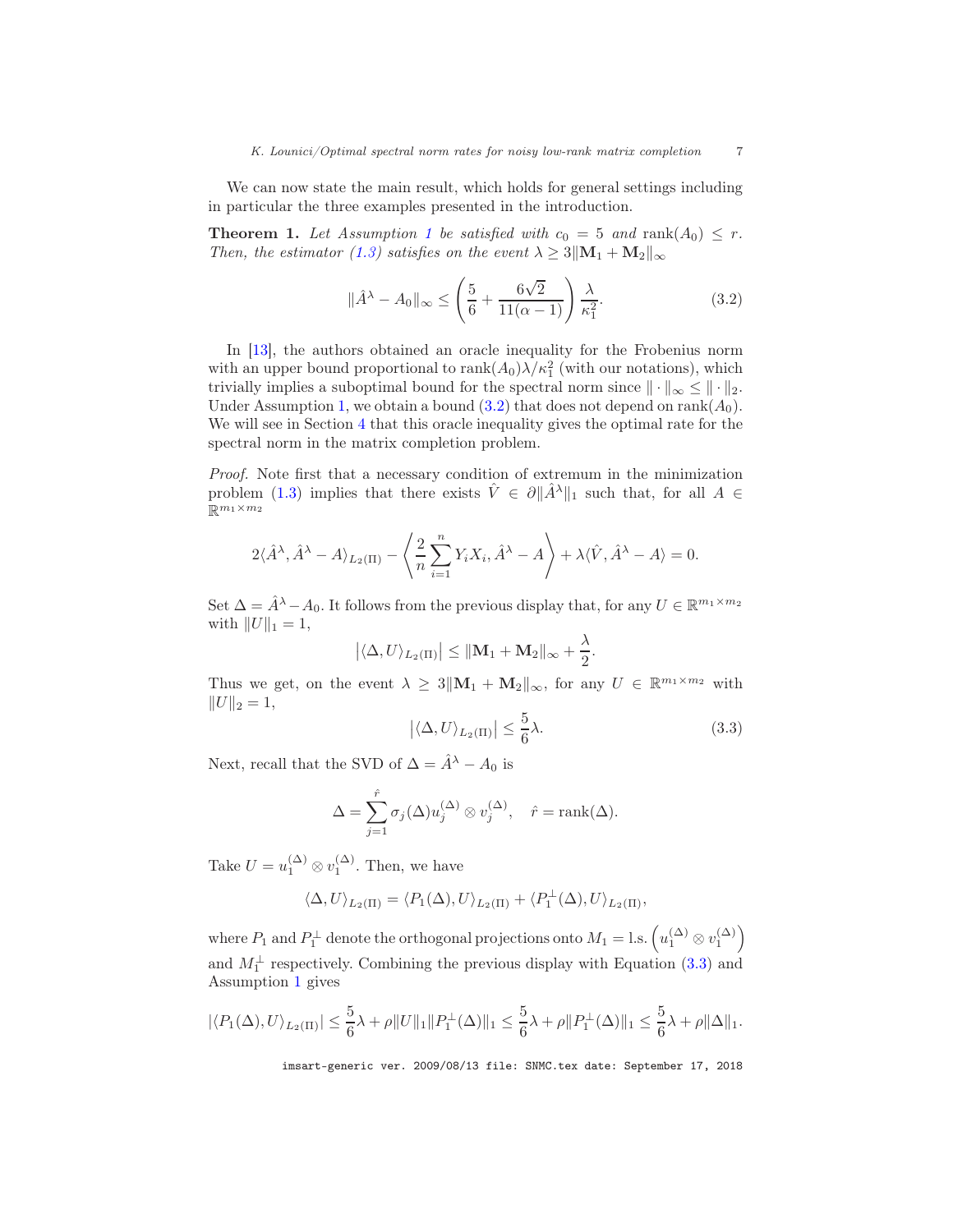We can now state the main result, which holds for general settings including in particular the three examples presented in the introduction.

<span id="page-6-2"></span>**Theorem [1](#page-4-0).** Let Assumption 1 be satisfied with  $c_0 = 5$  and  $\text{rank}(A_0) \leq r$ . Then, the estimator [\(1.3\)](#page-1-1) satisfies on the event  $\lambda \geq 3||\mathbf{M}_1 + \mathbf{M}_2||_{\infty}$ 

<span id="page-6-0"></span>
$$
\|\hat{A}^{\lambda} - A_0\|_{\infty} \le \left(\frac{5}{6} + \frac{6\sqrt{2}}{11(\alpha - 1)}\right) \frac{\lambda}{\kappa_1^2}.
$$
 (3.2)

In [\[13](#page-15-0)], the authors obtained an oracle inequality for the Frobenius norm with an upper bound proportional to  $\text{rank}(A_0)\lambda/\kappa_1^2$  (with our notations), which trivially implies a suboptimal bound for the spectral norm since  $\|\cdot\|_{\infty} \leq \|\cdot\|_{2}$ . Under Assumption [1,](#page-4-0) we obtain a bound  $(3.2)$  that does not depend on rank $(A_0)$ . We will see in Section [4](#page-7-0) that this oracle inequality gives the optimal rate for the spectral norm in the matrix completion problem.

Proof. Note first that a necessary condition of extremum in the minimization problem [\(1.3\)](#page-1-1) implies that there exists  $\hat{V} \in \partial ||\hat{A}^{\lambda}||_1$  such that, for all  $A \in$  $\mathbb{R}^{m_1 \times m_2}$ 

$$
2\langle \hat{A}^{\lambda}, \hat{A}^{\lambda} - A \rangle_{L_2(\Pi)} - \left\langle \frac{2}{n} \sum_{i=1}^n Y_i X_i, \hat{A}^{\lambda} - A \right\rangle + \lambda \langle \hat{V}, \hat{A}^{\lambda} - A \rangle = 0.
$$

Set  $\Delta = \hat{A}^{\lambda} - A_0$ . It follows from the previous display that, for any  $U \in \mathbb{R}^{m_1 \times m_2}$ with  $||U||_1 = 1$ ,

$$
\left| \langle \Delta, U \rangle_{L_2(\Pi)} \right| \leq ||\mathbf{M}_1 + \mathbf{M}_2||_{\infty} + \frac{\lambda}{2}.
$$

Thus we get, on the event  $\lambda \geq 3||\mathbf{M}_1 + \mathbf{M}_2||_{\infty}$ , for any  $U \in \mathbb{R}^{m_1 \times m_2}$  with  $||U||_2 = 1,$ 

<span id="page-6-1"></span>
$$
\left| \langle \Delta, U \rangle_{L_2(\Pi)} \right| \le \frac{5}{6} \lambda. \tag{3.3}
$$

Next, recall that the SVD of  $\Delta = \hat{A}^{\lambda} - A_0$  is

$$
\Delta = \sum_{j=1}^{\hat{r}} \sigma_j(\Delta) u_j^{(\Delta)} \otimes v_j^{(\Delta)}, \quad \hat{r} = \text{rank}(\Delta).
$$

Take  $U = u_1^{(\Delta)} \otimes v_1^{(\Delta)}$ . Then, we have

$$
\langle \Delta, U \rangle_{L_2(\Pi)} = \langle P_1(\Delta), U \rangle_{L_2(\Pi)} + \langle P_1^{\perp}(\Delta), U \rangle_{L_2(\Pi)},
$$

where  $P_1$  and  $P_1^{\perp}$  denote the orthogonal projections onto  $M_1 =$  l.s.  $\left(u_1^{(\Delta)} \otimes v_1^{(\Delta)}\right)$ and  $M_1^{\perp}$  respectively. Combining the previous display with Equation [\(3.3\)](#page-6-1) and Assumption [1](#page-4-0) gives

$$
|\langle P_1(\Delta), U \rangle_{L_2(\Pi)}| \le \frac{5}{6}\lambda + \rho ||U||_1 ||P_1^{\perp}(\Delta)||_1 \le \frac{5}{6}\lambda + \rho ||P_1^{\perp}(\Delta)||_1 \le \frac{5}{6}\lambda + \rho ||\Delta||_1.
$$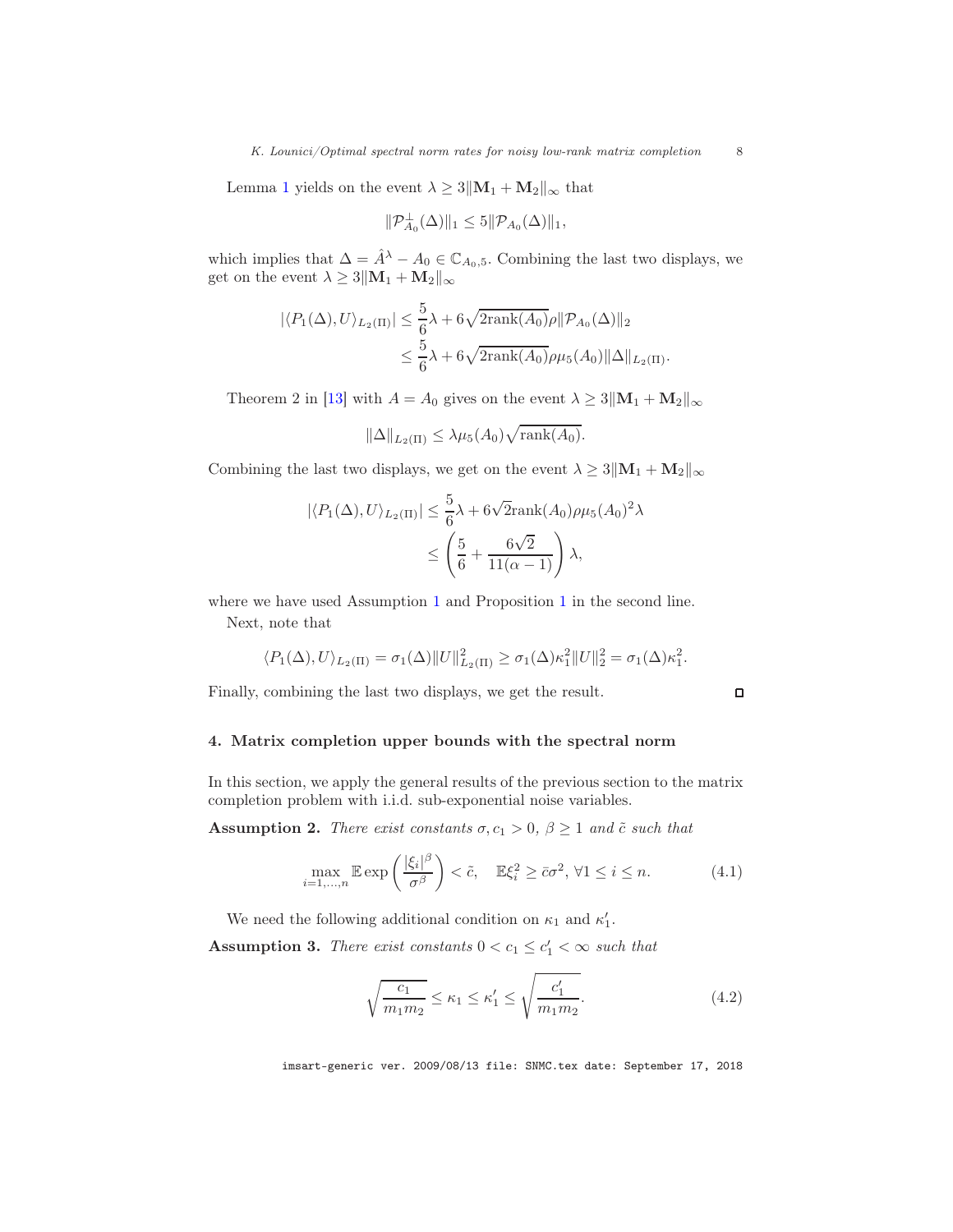Lemma [1](#page-9-1) yields on the event  $\lambda \geq 3||\mathbf{M}_1 + \mathbf{M}_2||_{\infty}$  that

$$
\|\mathcal{P}_{A_0}^{\perp}(\Delta)\|_1 \leq 5 \|\mathcal{P}_{A_0}(\Delta)\|_1,
$$

which implies that  $\Delta = \hat{A}^{\lambda} - A_0 \in \mathbb{C}_{A_0,5}$ . Combining the last two displays, we get on the event  $\lambda \geq 3||\mathbf{M}_1 + \mathbf{M}_2||_{\infty}$ 

$$
\begin{aligned} |\langle P_1(\Delta), U \rangle_{L_2(\Pi)}| &\leq \frac{5}{6}\lambda + 6\sqrt{2\text{rank}(A_0)}\rho \| \mathcal{P}_{A_0}(\Delta) \|_2 \\ &\leq \frac{5}{6}\lambda + 6\sqrt{2\text{rank}(A_0)}\rho\mu_5(A_0) \|\Delta\|_{L_2(\Pi)}. \end{aligned}
$$

Theorem 2 in [\[13\]](#page-15-0) with  $A = A_0$  gives on the event  $\lambda \geq 3||\mathbf{M}_1 + \mathbf{M}_2||_{\infty}$ 

$$
\|\Delta\|_{L_2(\Pi)} \leq \lambda \mu_5(A_0) \sqrt{\text{rank}(A_0)}.
$$

Combining the last two displays, we get on the event  $\lambda \geq 3||\mathbf{M}_1 + \mathbf{M}_2||_{\infty}$ 

$$
|\langle P_1(\Delta), U \rangle_{L_2(\Pi)}| \leq \frac{5}{6}\lambda + 6\sqrt{2}\text{rank}(A_0)\rho\mu_5(A_0)^2\lambda
$$
  

$$
\leq \left(\frac{5}{6} + \frac{6\sqrt{2}}{11(\alpha - 1)}\right)\lambda,
$$

where we have used Assumption [1](#page-4-1) and Proposition 1 in the second line.

Next, note that

$$
\langle P_1(\Delta), U \rangle_{L_2(\Pi)} = \sigma_1(\Delta) \|U\|_{L_2(\Pi)}^2 \ge \sigma_1(\Delta) \kappa_1^2 \|U\|_2^2 = \sigma_1(\Delta) \kappa_1^2.
$$

Finally, combining the last two displays, we get the result.

 $\Box$ 

# <span id="page-7-0"></span>4. Matrix completion upper bounds with the spectral norm

In this section, we apply the general results of the previous section to the matrix completion problem with i.i.d. sub-exponential noise variables.

<span id="page-7-2"></span>**Assumption 2.** There exist constants  $\sigma$ ,  $c_1 > 0$ ,  $\beta \ge 1$  and  $\tilde{c}$  such that

$$
\max_{i=1,\dots,n} \mathbb{E} \exp\left(\frac{|\xi_i|^\beta}{\sigma^\beta}\right) < \tilde{c}, \quad \mathbb{E}\xi_i^2 \ge \bar{c}\sigma^2, \forall 1 \le i \le n. \tag{4.1}
$$

We need the following additional condition on  $\kappa_1$  and  $\kappa'_1$ .

<span id="page-7-1"></span>**Assumption 3.** There exist constants  $0 < c_1 \leq c'_1 < \infty$  such that

$$
\sqrt{\frac{c_1}{m_1 m_2}} \le \kappa_1 \le \kappa_1' \le \sqrt{\frac{c_1'}{m_1 m_2}}.\tag{4.2}
$$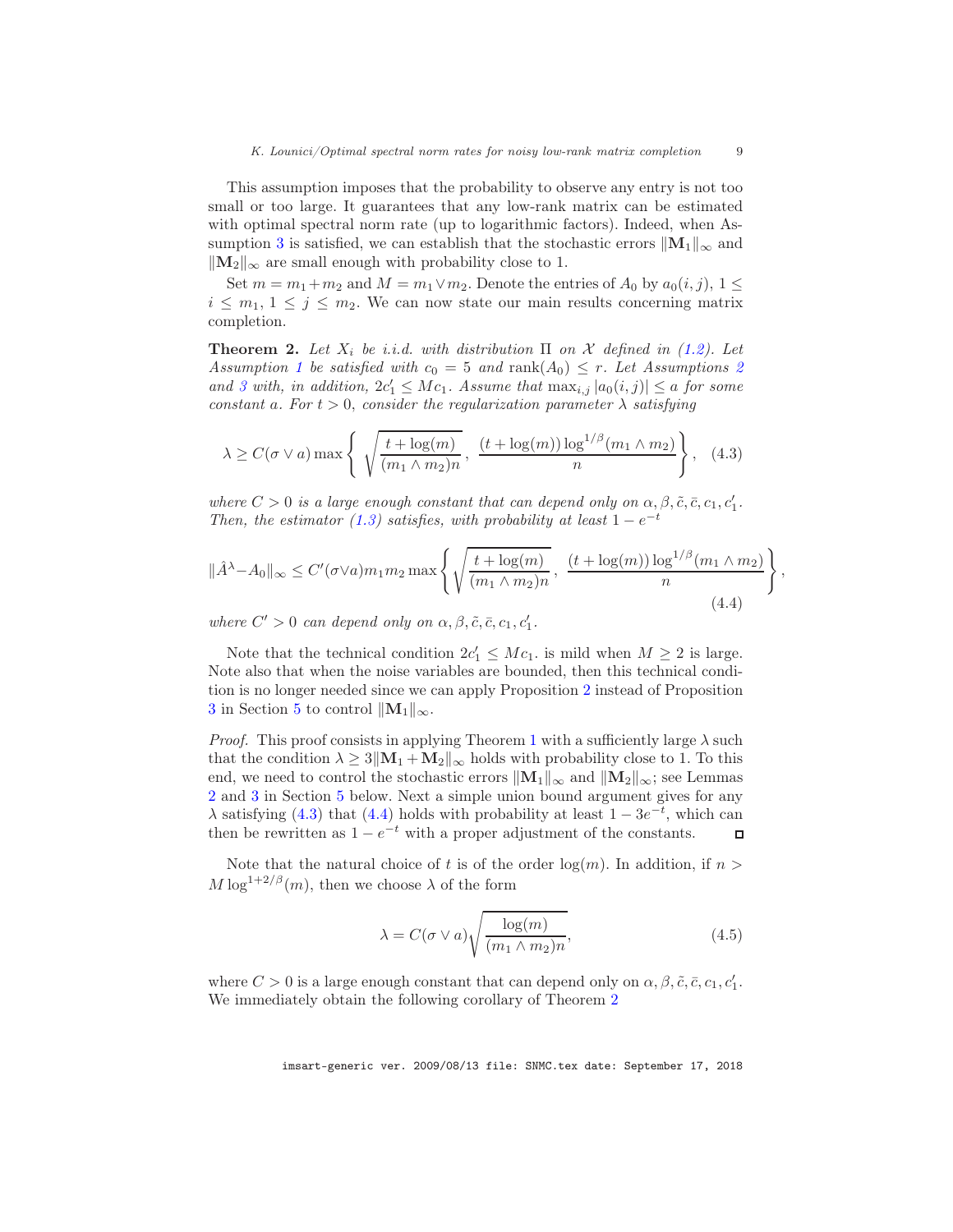This assumption imposes that the probability to observe any entry is not too small or too large. It guarantees that any low-rank matrix can be estimated with optimal spectral norm rate (up to logarithmic factors). Indeed, when As-sumption [3](#page-7-1) is satisfied, we can establish that the stochastic errors  $\|\mathbf{M}_1\|_{\infty}$  and  $\|\mathbf{M}_2\|_{\infty}$  are small enough with probability close to 1.

Set  $m = m_1 + m_2$  and  $M = m_1 \vee m_2$ . Denote the entries of  $A_0$  by  $a_0(i, j)$ ,  $1 \leq$  $i \leq m_1, 1 \leq j \leq m_2$ . We can now state our main results concerning matrix completion.

<span id="page-8-2"></span>**Theorem 2.** Let  $X_i$  be i.i.d. with distribution  $\Pi$  on  $\mathcal X$  defined in [\(1.2\)](#page-1-0). Let Assumption [1](#page-4-0) be satisfied with  $c_0 = 5$  and rank $(A_0) \leq r$ . Let Assumptions [2](#page-7-2) and [3](#page-7-1) with, in addition,  $2c'_1 \leq Mc_1$ . Assume that  $\max_{i,j} |a_0(i,j)| \leq a$  for some constant a. For  $t > 0$ , consider the regularization parameter  $\lambda$  satisfying

<span id="page-8-0"></span>
$$
\lambda \ge C(\sigma \vee a) \max \left\{ \sqrt{\frac{t + \log(m)}{(m_1 \wedge m_2)n}}, \frac{(t + \log(m)) \log^{1/\beta}(m_1 \wedge m_2)}{n} \right\}, \quad (4.3)
$$

where  $C > 0$  is a large enough constant that can depend only on  $\alpha, \beta, \tilde{c}, \bar{c}, c_1, c'_1$ . Then, the estimator [\(1.3\)](#page-1-1) satisfies, with probability at least  $1 - e^{-t}$ 

<span id="page-8-1"></span>
$$
\|\hat{A}^{\lambda} - A_0\|_{\infty} \le C'(\sigma \vee a) m_1 m_2 \max \left\{ \sqrt{\frac{t + \log(m)}{(m_1 \wedge m_2)n}}, \frac{(t + \log(m)) \log^{1/\beta}(m_1 \wedge m_2)}{n} \right\},\tag{4.4}
$$

where  $C' > 0$  can depend only on  $\alpha, \beta, \tilde{c}, \bar{c}, c_1, c'_1$ .

Note that the technical condition  $2c'_1 \leq Mc_1$ , is mild when  $M \geq 2$  is large. Note also that when the noise variables are bounded, then this technical condition is no longer needed since we can apply Proposition [2](#page-11-0) instead of Proposition [3](#page-11-1) in Section [5](#page-9-0) to control  $||M_1||_{\infty}$ .

*Proof.* This proof consists in applying Theorem [1](#page-6-2) with a sufficiently large  $\lambda$  such that the condition  $\lambda \geq 3||\mathbf{M}_1 + \mathbf{M}_2||_{\infty}$  holds with probability close to 1. To this end, we need to control the stochastic errors  $\|\mathbf{M}_1\|_{\infty}$  and  $\|\mathbf{M}_2\|_{\infty}$ ; see Lemmas [2](#page-11-2) and [3](#page-13-0) in Section [5](#page-9-0) below. Next a simple union bound argument gives for any  $\lambda$  satisfying [\(4.3\)](#page-8-0) that [\(4.4\)](#page-8-1) holds with probability at least  $1 - 3e^{-t}$ , which can then be rewritten as  $1 - e^{-t}$  with a proper adjustment of the constants.  $\Box$ 

Note that the natural choice of t is of the order  $log(m)$ . In addition, if  $n >$  $M \log^{1+2/\beta}(m)$ , then we choose  $\lambda$  of the form

<span id="page-8-3"></span>
$$
\lambda = C(\sigma \vee a) \sqrt{\frac{\log(m)}{(m_1 \wedge m_2)n}},\tag{4.5}
$$

where  $C > 0$  is a large enough constant that can depend only on  $\alpha, \beta, \tilde{c}, \bar{c}, c_1, c'_1$ . We immediately obtain the following corollary of Theorem [2](#page-8-2)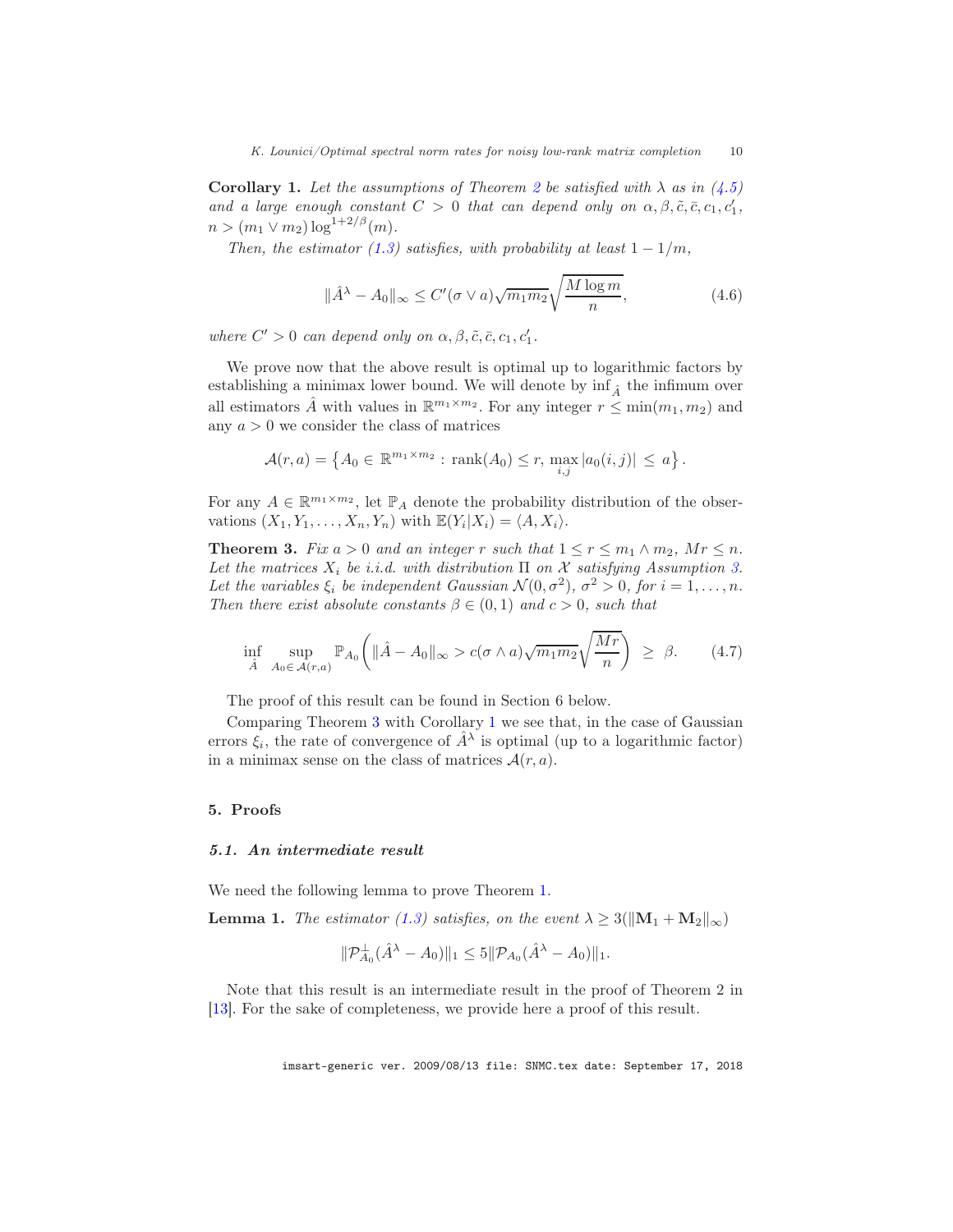<span id="page-9-3"></span>**Corollary 1.** Let the assumptions of Theorem [2](#page-8-2) be satisfied with  $\lambda$  as in [\(4.5\)](#page-8-3) and a large enough constant  $C > 0$  that can depend only on  $\alpha, \beta, \tilde{c}, \bar{c}, c_1, c'_1$ ,  $n > (m_1 \vee m_2) \log^{1+2/\beta}(m)$ .

Then, the estimator [\(1.3\)](#page-1-1) satisfies, with probability at least  $1 - 1/m$ ,

$$
\|\hat{A}^{\lambda} - A_0\|_{\infty} \le C'(\sigma \vee a)\sqrt{m_1 m_2} \sqrt{\frac{M \log m}{n}},\tag{4.6}
$$

where  $C' > 0$  can depend only on  $\alpha, \beta, \tilde{c}, \bar{c}, c_1, c'_1$ .

We prove now that the above result is optimal up to logarithmic factors by establishing a minimax lower bound. We will denote by  $\inf_{\hat{A}}$  the infimum over all estimators  $\hat{A}$  with values in  $\mathbb{R}^{m_1 \times m_2}$ . For any integer  $r \le \min(m_1, m_2)$  and any  $a > 0$  we consider the class of matrices

$$
\mathcal{A}(r,a) = \left\{ A_0 \in \mathbb{R}^{m_1 \times m_2} : \text{rank}(A_0) \le r, \max_{i,j} |a_0(i,j)| \le a \right\}.
$$

For any  $A \in \mathbb{R}^{m_1 \times m_2}$ , let  $\mathbb{P}_A$  denote the probability distribution of the observations  $(X_1, Y_1, \ldots, X_n, Y_n)$  with  $\mathbb{E}(Y_i | X_i) = \langle A, X_i \rangle$ .

<span id="page-9-2"></span>**Theorem 3.** Fix  $a > 0$  and an integer r such that  $1 \le r \le m_1 \wedge m_2$ ,  $Mr \le n$ . Let the matrices  $X_i$  be i.i.d. with distribution  $\Pi$  on  $\mathcal X$  satisfying Assumption [3.](#page-7-1) Let the variables  $\xi_i$  be independent Gaussian  $\mathcal{N}(0, \sigma^2)$ ,  $\sigma^2 > 0$ , for  $i = 1, ..., n$ . Then there exist absolute constants  $\beta \in (0,1)$  and  $c > 0$ , such that

$$
\inf_{\hat{A}} \sup_{A_0 \in \mathcal{A}(r,a)} \mathbb{P}_{A_0}\bigg( \|\hat{A} - A_0\|_{\infty} > c(\sigma \wedge a) \sqrt{m_1 m_2} \sqrt{\frac{Mr}{n}} \bigg) \geq \beta. \tag{4.7}
$$

The proof of this result can be found in Section 6 below.

Comparing Theorem [3](#page-9-2) with Corollary [1](#page-9-3) we see that, in the case of Gaussian errors  $\xi_i$ , the rate of convergence of  $\hat{A}^{\lambda}$  is optimal (up to a logarithmic factor) in a minimax sense on the class of matrices  $\mathcal{A}(r, a)$ .

# <span id="page-9-0"></span>5. Proofs

#### 5.1. An intermediate result

We need the following lemma to prove Theorem [1.](#page-6-2)

<span id="page-9-1"></span>**Lemma 1.** The estimator [\(1.3\)](#page-1-1) satisfies, on the event  $\lambda \geq 3(||\mathbf{M}_1 + \mathbf{M}_2||_{\infty})$ 

$$
\|\mathcal{P}_{A_0}^{\perp}(\hat{A}^{\lambda} - A_0)\|_1 \leq 5 \|\mathcal{P}_{A_0}(\hat{A}^{\lambda} - A_0)\|_1.
$$

Note that this result is an intermediate result in the proof of Theorem 2 in [\[13\]](#page-15-0). For the sake of completeness, we provide here a proof of this result.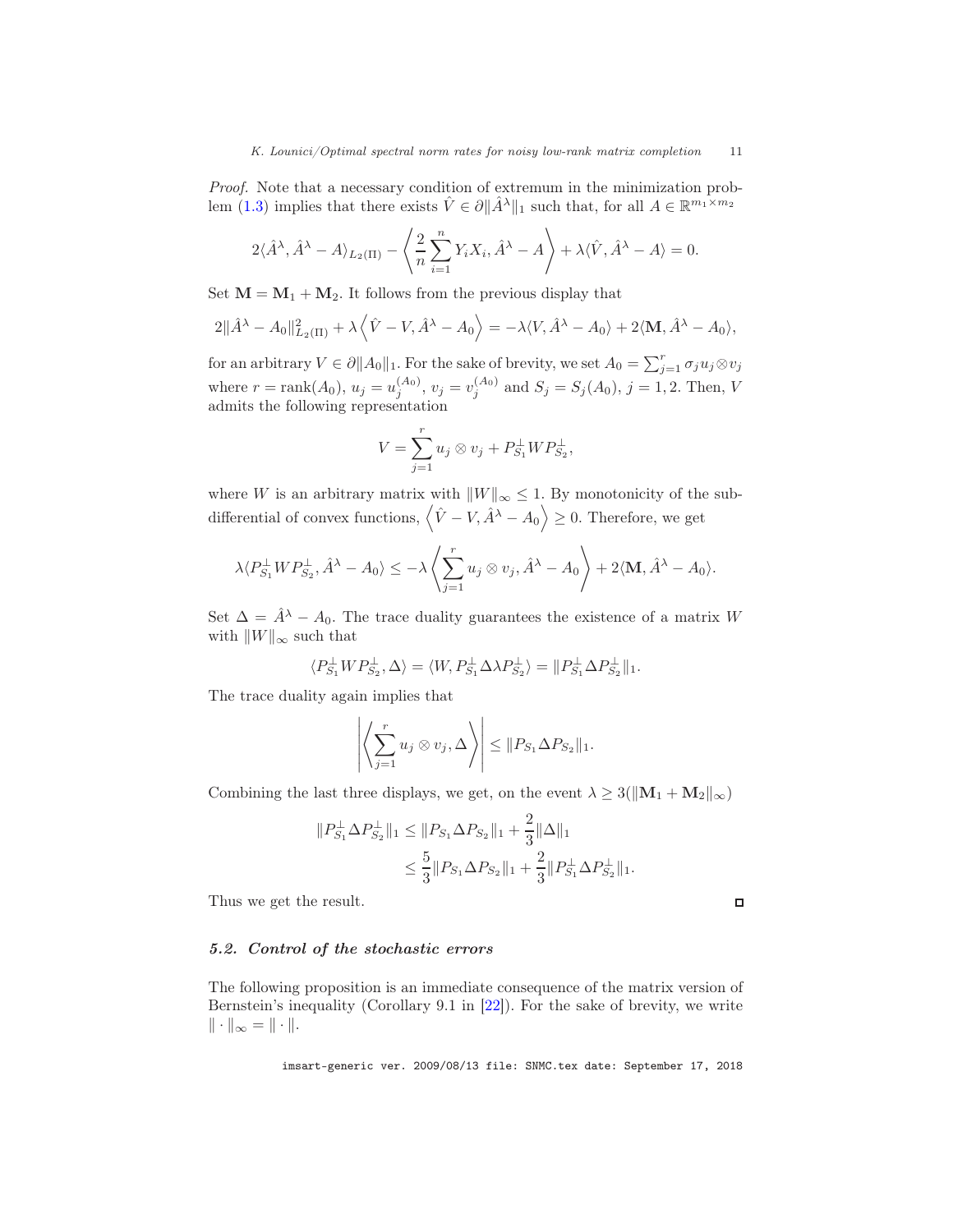Proof. Note that a necessary condition of extremum in the minimization prob-lem [\(1.3\)](#page-1-1) implies that there exists  $\hat{V} \in \partial \|\hat{A}^{\lambda}\|_1$  such that, for all  $A \in \mathbb{R}^{m_1 \times m_2}$ 

$$
2\langle \hat{A}^{\lambda}, \hat{A}^{\lambda} - A \rangle_{L_2(\Pi)} - \left\langle \frac{2}{n} \sum_{i=1}^n Y_i X_i, \hat{A}^{\lambda} - A \right\rangle + \lambda \langle \hat{V}, \hat{A}^{\lambda} - A \rangle = 0.
$$

Set  $M = M_1 + M_2$ . It follows from the previous display that

$$
2\|\hat{A}^{\lambda}-A_0\|_{L_2(\Pi)}^2+\lambda\left\langle \hat{V}-V,\hat{A}^{\lambda}-A_0\right\rangle=-\lambda\langle V,\hat{A}^{\lambda}-A_0\rangle+2\langle \mathbf{M},\hat{A}^{\lambda}-A_0\rangle,
$$

for an arbitrary  $V \in \partial \|A_0\|_1$ . For the sake of brevity, we set  $A_0 = \sum_{j=1}^r \sigma_j u_j \otimes v_j$ where  $r = \text{rank}(A_0)$ ,  $u_j = u_j^{(A_0)}$ ,  $v_j = v_j^{(A_0)}$  and  $S_j = S_j(A_0)$ ,  $j = 1, 2$ . Then, V admits the following representation

$$
V = \sum_{j=1}^{r} u_j \otimes v_j + P_{S_1}^{\perp} W P_{S_2}^{\perp},
$$

where W is an arbitrary matrix with  $||W||_{\infty} \leq 1$ . By monotonicity of the subdifferential of convex functions,  $\langle \hat{V} - V, \hat{A}^{\lambda} - A_0 \rangle \ge 0$ . Therefore, we get

$$
\lambda \langle P_{S_1}^{\perp} W P_{S_2}^{\perp}, \hat{A}^{\lambda} - A_0 \rangle \le -\lambda \left\langle \sum_{j=1}^r u_j \otimes v_j, \hat{A}^{\lambda} - A_0 \right\rangle + 2 \langle \mathbf{M}, \hat{A}^{\lambda} - A_0 \rangle.
$$

Set  $\Delta = \hat{A}^{\lambda} - A_0$ . The trace duality guarantees the existence of a matrix W with  $||W||_{\infty}$  such that

$$
\langle P_{S_1}^{\perp}WP_{S_2}^{\perp},\Delta\rangle=\langle W,P_{S_1}^{\perp}\Delta\lambda P_{S_2}^{\perp}\rangle=\|P_{S_1}^{\perp}\Delta P_{S_2}^{\perp}\|_1.
$$

The trace duality again implies that

$$
\left| \left\langle \sum_{j=1}^r u_j \otimes v_j, \Delta \right\rangle \right| \leq \| P_{S_1} \Delta P_{S_2} \|_1.
$$

Combining the last three displays, we get, on the event  $\lambda \geq 3(\|\mathbf{M}_1 + \mathbf{M}_2\|_{\infty})$ 

$$
||P_{S_1}^{\perp} \Delta P_{S_2}^{\perp}||_1 \le ||P_{S_1} \Delta P_{S_2}||_1 + \frac{2}{3} ||\Delta||_1
$$
  

$$
\le \frac{5}{3} ||P_{S_1} \Delta P_{S_2}||_1 + \frac{2}{3} ||P_{S_1}^{\perp} \Delta P_{S_2}^{\perp}||_1.
$$

Thus we get the result.

# 5.2. Control of the stochastic errors

The following proposition is an immediate consequence of the matrix version of Bernstein's inequality (Corollary 9.1 in [\[22\]](#page-16-3)). For the sake of brevity, we write  $\|\cdot\|_{\infty} = \|\cdot\|.$ 

imsart-generic ver. 2009/08/13 file: SNMC.tex date: September 17, 2018

 $\Box$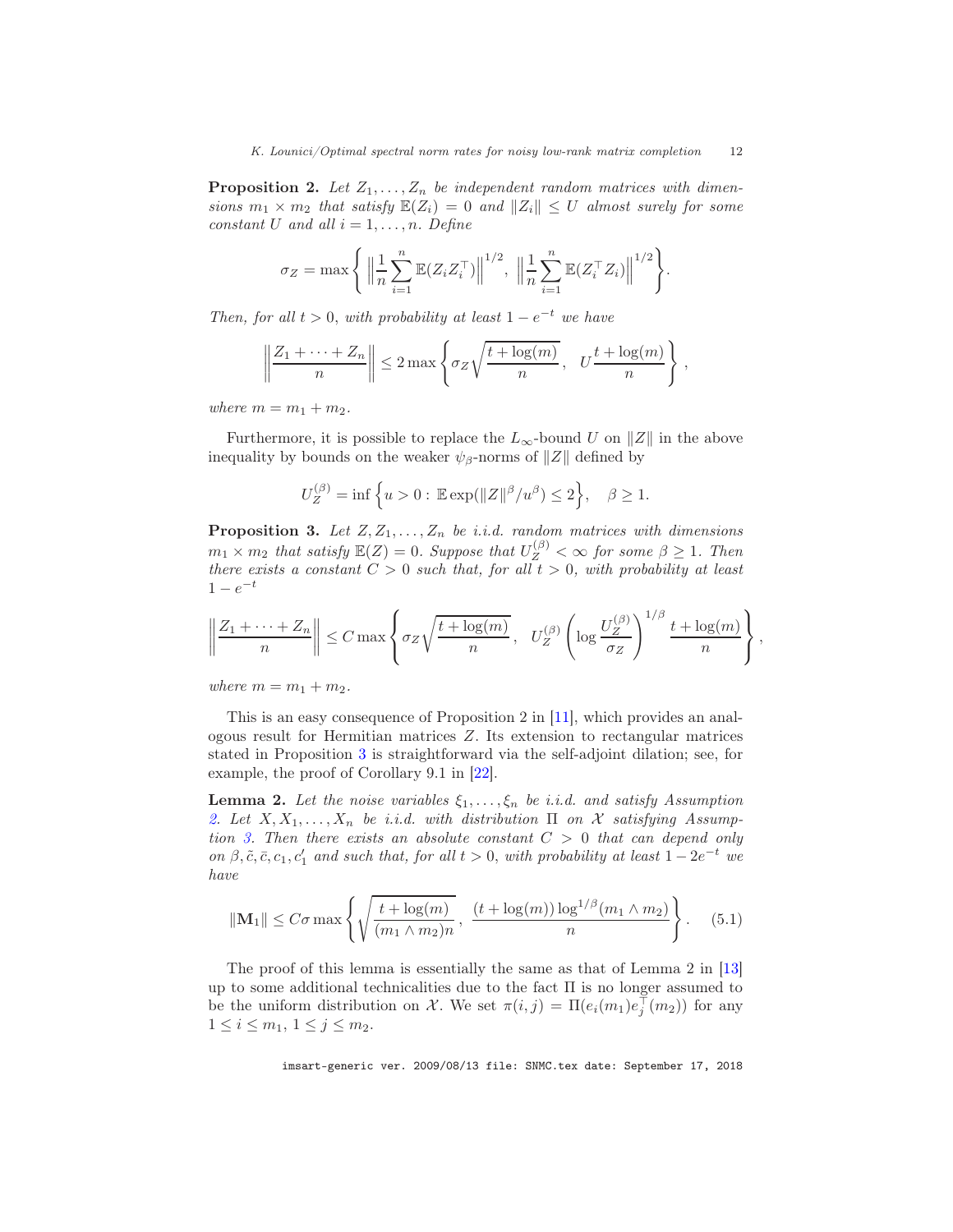<span id="page-11-0"></span>**Proposition 2.** Let  $Z_1, \ldots, Z_n$  be independent random matrices with dimensions  $m_1 \times m_2$  that satisfy  $\mathbb{E}(Z_i) = 0$  and  $||Z_i|| \leq U$  almost surely for some constant U and all  $i = 1, \ldots, n$ . Define

$$
\sigma_Z = \max \left\{ \left\| \frac{1}{n} \sum_{i=1}^n \mathbb{E}(Z_i Z_i^{\top}) \right\|^{1/2}, \left\| \frac{1}{n} \sum_{i=1}^n \mathbb{E}(Z_i^{\top} Z_i) \right\|^{1/2} \right\}.
$$

Then, for all  $t > 0$ , with probability at least  $1 - e^{-t}$  we have

$$
\left\|\frac{Z_1+\cdots+Z_n}{n}\right\| \leq 2\max\left\{\sigma_Z\sqrt{\frac{t+\log(m)}{n}}, \quad U\frac{t+\log(m)}{n}\right\},\,
$$

where  $m = m_1 + m_2$ .

Furthermore, it is possible to replace the  $L_{\infty}$ -bound U on ||Z|| in the above inequality by bounds on the weaker  $\psi_{\beta}$ -norms of  $||Z||$  defined by

$$
U_Z^{(\beta)} = \inf \left\{ u > 0: \, \mathbb{E} \exp(\|Z\|^\beta/u^\beta) \le 2 \right\}, \quad \beta \ge 1.
$$

<span id="page-11-1"></span>**Proposition 3.** Let  $Z, Z_1, \ldots, Z_n$  be i.i.d. random matrices with dimensions  $m_1 \times m_2$  that satisfy  $\mathbb{E}(Z) = 0$ . Suppose that  $U_Z^{(\beta)} < \infty$  for some  $\beta \geq 1$ . Then there exists a constant  $C > 0$  such that, for all  $t > 0$ , with probability at least  $1 - e^{-t}$ 

$$
\left\|\frac{Z_1+\cdots+Z_n}{n}\right\| \leq C \max\left\{\sigma_Z\sqrt{\frac{t+\log(m)}{n}}, \quad U_Z^{(\beta)}\left(\log \frac{U_Z^{(\beta)}}{\sigma_Z}\right)^{1/\beta} \frac{t+\log(m)}{n}\right\},\,
$$

where  $m = m_1 + m_2$ .

This is an easy consequence of Proposition 2 in [\[11](#page-15-5)], which provides an analogous result for Hermitian matrices Z. Its extension to rectangular matrices stated in Proposition [3](#page-11-1) is straightforward via the self-adjoint dilation; see, for example, the proof of Corollary 9.1 in [\[22\]](#page-16-3).

<span id="page-11-2"></span>**Lemma 2.** Let the noise variables  $\xi_1, \ldots, \xi_n$  be i.i.d. and satisfy Assumption [2.](#page-7-2) Let  $X, X_1, \ldots, X_n$  be i.i.d. with distribution  $\Pi$  on  $\mathcal X$  satisfying Assump-tion [3.](#page-7-1) Then there exists an absolute constant  $C > 0$  that can depend only on  $\beta$ ,  $\tilde{c}$ ,  $\bar{c}$ ,  $c_1$ ,  $c'_1$  and such that, for all  $t > 0$ , with probability at least  $1 - 2e^{-t}$  we have

$$
\|\mathbf{M}_1\| \le C\sigma \max\left\{\sqrt{\frac{t + \log(m)}{(m_1 \wedge m_2)n}}, \frac{(t + \log(m))\log^{1/\beta}(m_1 \wedge m_2)}{n}\right\}.
$$
 (5.1)

The proof of this lemma is essentially the same as that of Lemma 2 in [\[13\]](#page-15-0) up to some additional technicalities due to the fact Π is no longer assumed to be the uniform distribution on X. We set  $\pi(i, j) = \Pi(e_i(m_1)e_j^{\top}(m_2))$  for any  $1 \leq i \leq m_1, \ 1 \leq j \leq m_2.$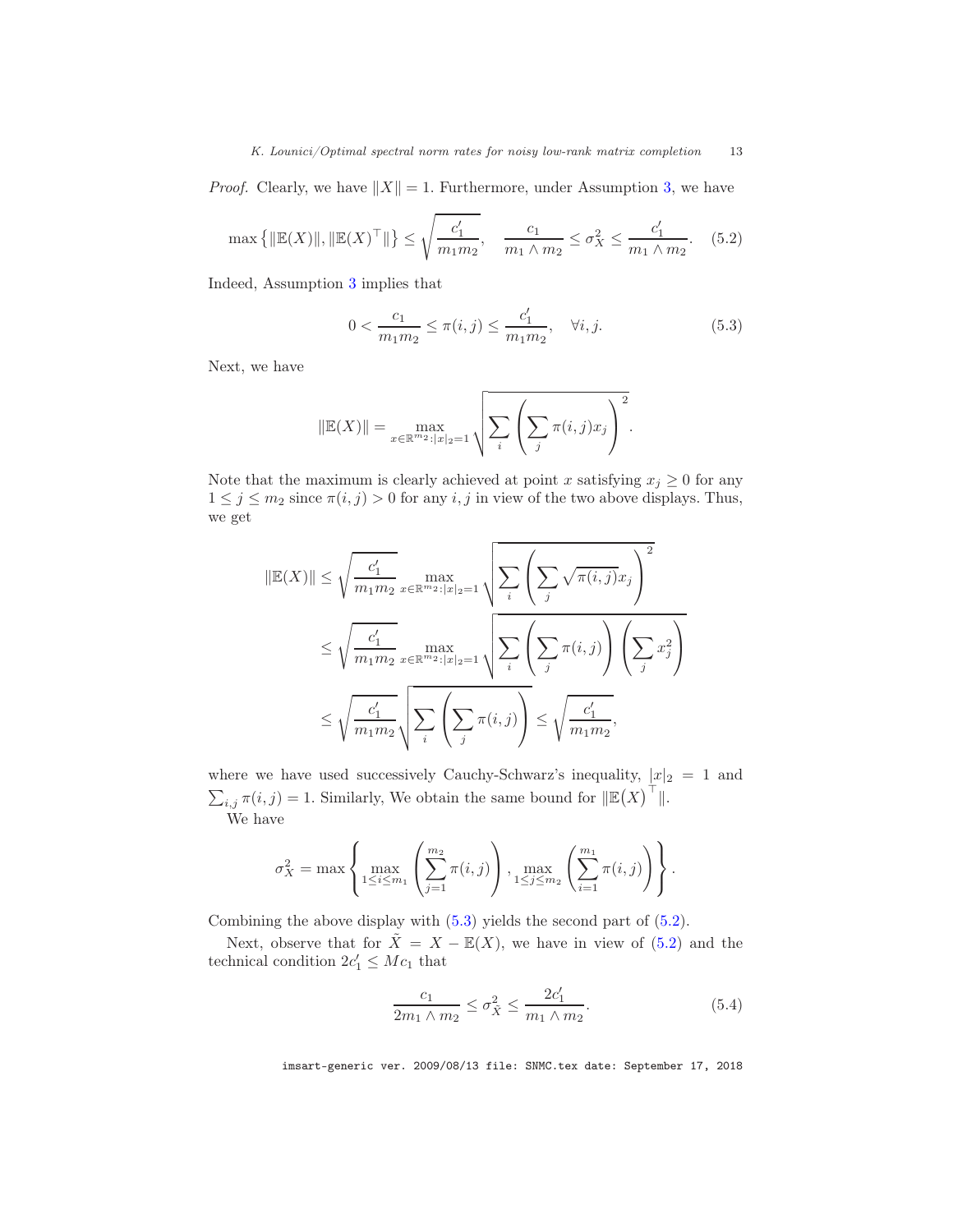*Proof.* Clearly, we have  $||X|| = 1$ . Furthermore, under Assumption [3,](#page-7-1) we have

<span id="page-12-1"></span>
$$
\max\left\{\|\mathbb{E}(X)\|, \|\mathbb{E}(X)^{\top}\|\right\} \le \sqrt{\frac{c_1'}{m_1 m_2}}, \quad \frac{c_1}{m_1 \wedge m_2} \le \sigma_X^2 \le \frac{c_1'}{m_1 \wedge m_2}.\tag{5.2}
$$

Indeed, Assumption [3](#page-7-1) implies that

<span id="page-12-0"></span>
$$
0 < \frac{c_1}{m_1 m_2} \le \pi(i, j) \le \frac{c'_1}{m_1 m_2}, \quad \forall i, j. \tag{5.3}
$$

Next, we have

$$
\|\mathbb{E}(X)\| = \max_{x \in \mathbb{R}^{m_2} : |x|_2 = 1} \sqrt{\sum_i \left( \sum_j \pi(i,j)x_j \right)^2}.
$$

Note that the maximum is clearly achieved at point x satisfying  $x_j \geq 0$  for any  $1 \leq j \leq m_2$  since  $\pi(i, j) > 0$  for any  $i, j$  in view of the two above displays. Thus, we get

$$
\|\mathbb{E}(X)\| \leq \sqrt{\frac{c'_1}{m_1 m_2}} \max_{x \in \mathbb{R}^{m_2} : |x|_2 = 1} \sqrt{\sum_i \left( \sum_j \sqrt{\pi(i,j)} x_j \right)^2}
$$
  

$$
\leq \sqrt{\frac{c'_1}{m_1 m_2}} \max_{x \in \mathbb{R}^{m_2} : |x|_2 = 1} \sqrt{\sum_i \left( \sum_j \pi(i,j) \right) \left( \sum_j x_j^2 \right)}
$$
  

$$
\leq \sqrt{\frac{c'_1}{m_1 m_2}} \sqrt{\sum_i \left( \sum_j \pi(i,j) \right)} \leq \sqrt{\frac{c'_1}{m_1 m_2}},
$$

where we have used successively Cauchy-Schwarz's inequality,  $|x|_2 = 1$  and  $\sum_{i,j} \pi(i,j) = 1$ . Similarly, We obtain the same bound for  $\Vert \mathbb{E}(X) \Vert$ . We have

$$
\sigma_X^2 = \max \left\{ \max_{1 \le i \le m_1} \left( \sum_{j=1}^{m_2} \pi(i,j) \right), \max_{1 \le j \le m_2} \left( \sum_{i=1}^{m_1} \pi(i,j) \right) \right\}.
$$

Combining the above display with  $(5.3)$  yields the second part of  $(5.2)$ .

Next, observe that for  $\tilde{X} = X - \mathbb{E}(X)$ , we have in view of [\(5.2\)](#page-12-1) and the technical condition  $2c'_1 \leq Mc_1$  that

<span id="page-12-2"></span>
$$
\frac{c_1}{2m_1 \wedge m_2} \le \sigma_{\tilde{X}}^2 \le \frac{2c'_1}{m_1 \wedge m_2}.
$$
 (5.4)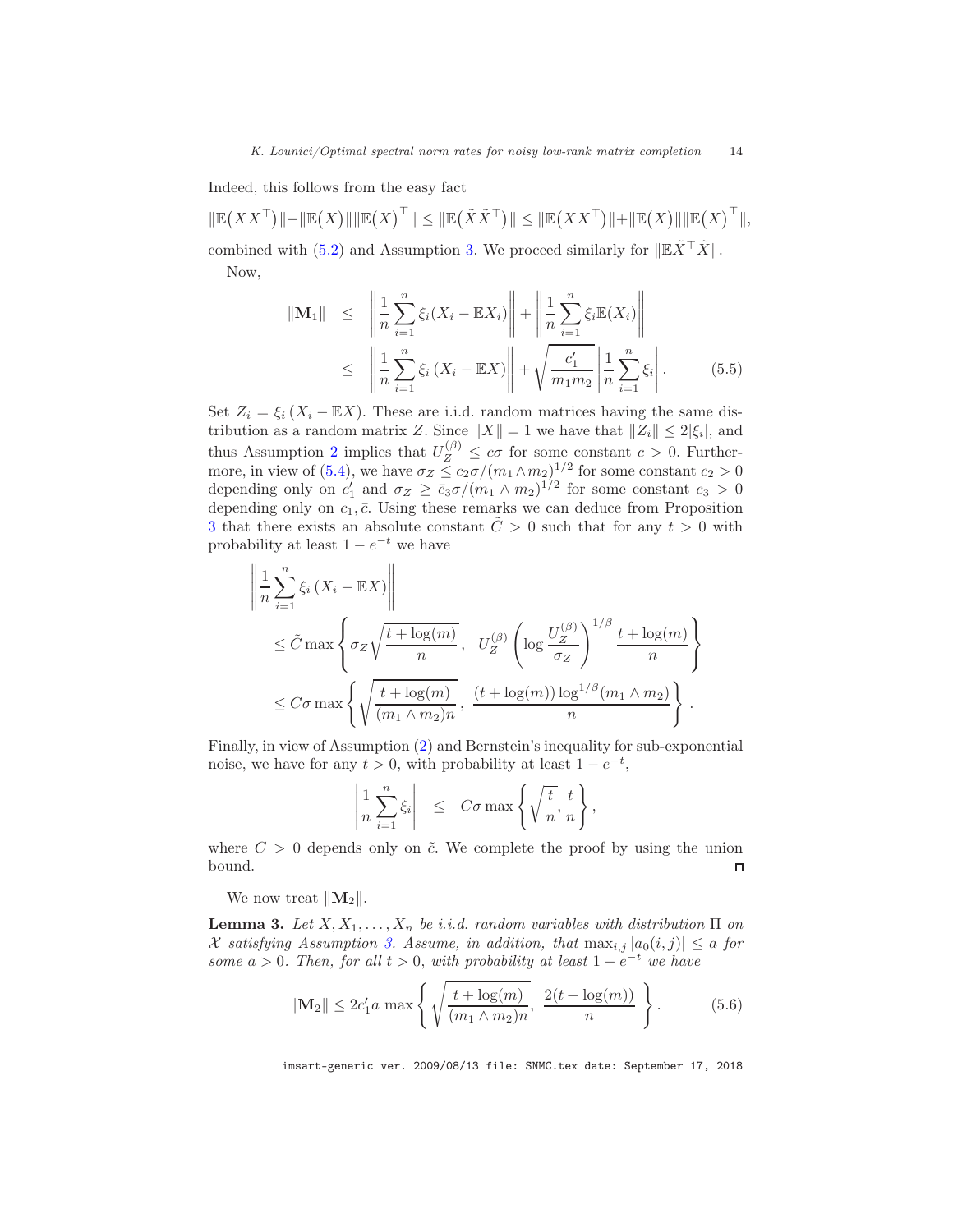Indeed, this follows from the easy fact

 $\|\mathbb{E}(XX^\top)\| - \|\mathbb{E}(X)\|\|\mathbb{E}(X)^\top\| \le \|\mathbb{E}(\tilde{X}\tilde{X}^\top)\| \le \|\mathbb{E}(XX^\top)\| + \|\mathbb{E}(X)\|\|\mathbb{E}(X)^\top\|,$ combined with [\(5.2\)](#page-12-1) and Assumption [3.](#page-7-1) We proceed similarly for  $\Vert \mathbb{E} \tilde{X}^{\top} \tilde{X} \Vert$ . Now,

$$
\|\mathbf{M}_1\| \leq \left\|\frac{1}{n}\sum_{i=1}^n\xi_i(X_i - \mathbb{E}X_i)\right\| + \left\|\frac{1}{n}\sum_{i=1}^n\xi_i\mathbb{E}(X_i)\right\|
$$
  

$$
\leq \left\|\frac{1}{n}\sum_{i=1}^n\xi_i(X_i - \mathbb{E}X)\right\| + \sqrt{\frac{c'_1}{m_1m_2}}\left\|\frac{1}{n}\sum_{i=1}^n\xi_i\right|. \tag{5.5}
$$

Set  $Z_i = \xi_i (X_i - \mathbb{E}X)$ . These are i.i.d. random matrices having the same distribution as a random matrix Z. Since  $||X|| = 1$  we have that  $||Z_i|| \leq 2|\xi_i|$ , and thus Assumption [2](#page-7-2) implies that  $U_Z^{(\beta)} \leq c\sigma$  for some constant  $c > 0$ . Further-more, in view of [\(5.4\)](#page-12-2), we have  $\sigma_Z \leq c_2 \sigma/(m_1 \wedge m_2)^{1/2}$  for some constant  $c_2 > 0$ depending only on  $c'_1$  and  $\sigma_Z \geq \bar{c}_3 \sigma/(m_1 \wedge m_2)^{1/2}$  for some constant  $c_3 > 0$ depending only on  $c_1$ ,  $\bar{c}$ . Using these remarks we can deduce from Proposition [3](#page-11-1) that there exists an absolute constant  $\ddot{C} > 0$  such that for any  $t > 0$  with probability at least  $1 - e^{-t}$  we have

$$
\left\| \frac{1}{n} \sum_{i=1}^{n} \xi_i \left( X_i - \mathbb{E} X \right) \right\|
$$
  
\n
$$
\leq \tilde{C} \max \left\{ \sigma_Z \sqrt{\frac{t + \log(m)}{n}}, \quad U_Z^{(\beta)} \left( \log \frac{U_Z^{(\beta)}}{\sigma_Z} \right)^{1/\beta} \frac{t + \log(m)}{n} \right\}
$$
  
\n
$$
\leq C \sigma \max \left\{ \sqrt{\frac{t + \log(m)}{(m_1 \wedge m_2)n}}, \frac{(t + \log(m)) \log^{1/\beta}(m_1 \wedge m_2)}{n} \right\}.
$$

Finally, in view of Assumption [\(2\)](#page-7-2) and Bernstein's inequality for sub-exponential noise, we have for any  $t > 0$ , with probability at least  $1 - e^{-t}$ ,

<span id="page-13-1"></span>
$$
\left|\frac{1}{n}\sum_{i=1}^n \xi_i\right| \leq C\sigma \max\left\{\sqrt{\frac{t}{n}}, \frac{t}{n}\right\},\,
$$

where  $C > 0$  depends only on  $\tilde{c}$ . We complete the proof by using the union bound.  $\Box$ 

We now treat  $||\mathbf{M}_2||$ .

<span id="page-13-0"></span>**Lemma 3.** Let  $X, X_1, \ldots, X_n$  be i.i.d. random variables with distribution  $\Pi$  on X satisfying Assumption [3.](#page-7-1) Assume, in addition, that  $\max_{i,j} |a_0(i,j)| \leq a$  for some  $a > 0$ . Then, for all  $t > 0$ , with probability at least  $1 - e^{-t}$  we have

$$
\|\mathbf{M}_2\| \le 2c_1'a \max\left\{\sqrt{\frac{t + \log(m)}{(m_1 \wedge m_2)n}}, \frac{2(t + \log(m))}{n}\right\}.
$$
 (5.6)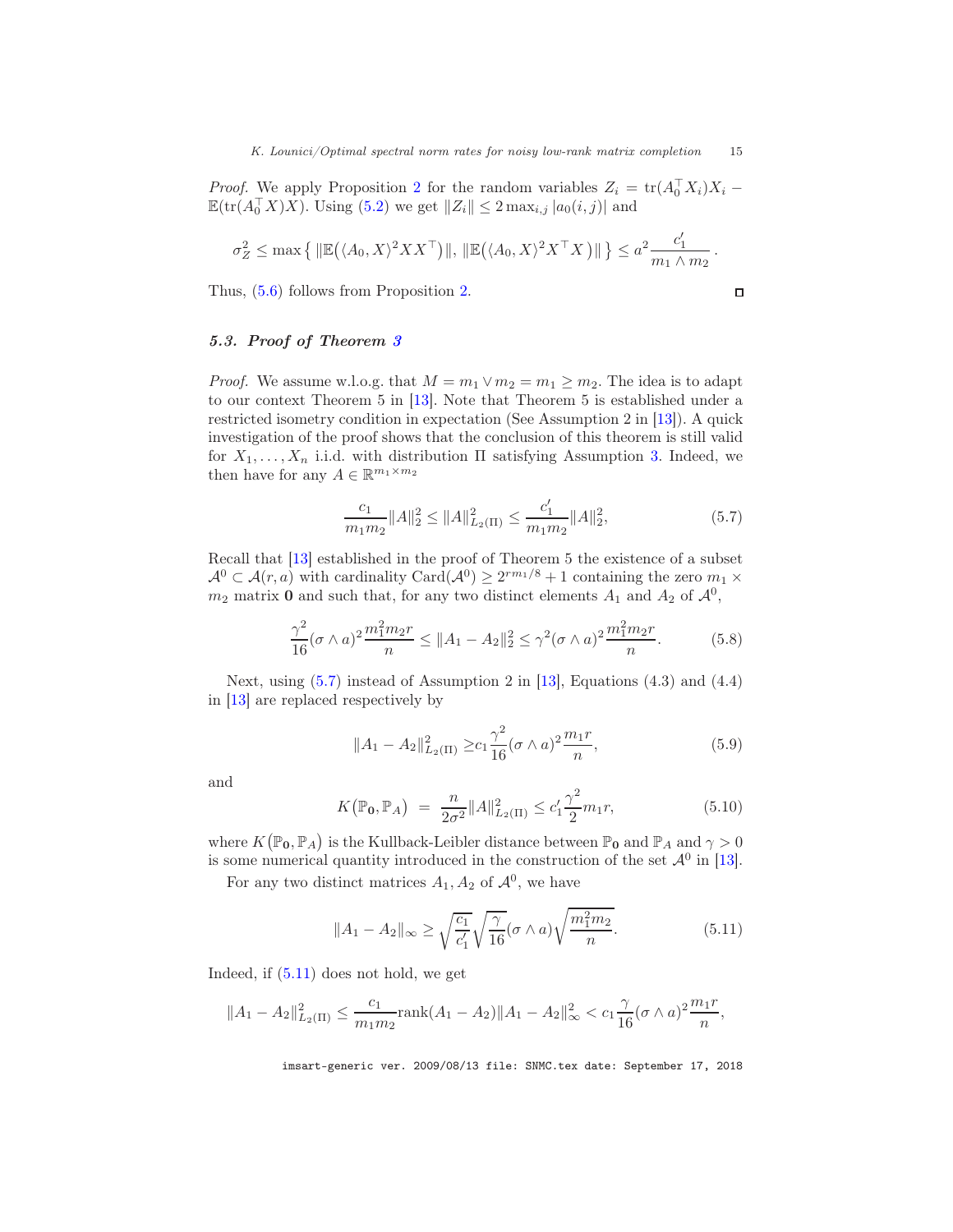*Proof.* We apply Proposition [2](#page-11-0) for the random variables  $Z_i = \text{tr}(A_0^{\top} X_i)X_i$  –  $\mathbb{E}(\text{tr}(A_0^{\top} X)X)$ . Using [\(5.2\)](#page-12-1) we get  $||Z_i|| \leq 2 \max_{i,j} |a_0(i,j)|$  and

$$
\sigma_Z^2 \le \max\left\{ \|\mathbb{E}(\langle A_0, X \rangle^2 X X^\top)\|, \|\mathbb{E}(\langle A_0, X \rangle^2 X^\top X)\| \right\} \le a^2 \frac{c_1'}{m_1 \wedge m_2}.
$$

Thus, [\(5.6\)](#page-13-1) follows from Proposition [2.](#page-11-0)

5.3. Proof of Theorem [3](#page-9-2)

*Proof.* We assume w.l.o.g. that  $M = m_1 \vee m_2 = m_1 \geq m_2$ . The idea is to adapt to our context Theorem 5 in [\[13\]](#page-15-0). Note that Theorem 5 is established under a restricted isometry condition in expectation (See Assumption 2 in [\[13](#page-15-0)]). A quick investigation of the proof shows that the conclusion of this theorem is still valid for  $X_1, \ldots, X_n$  i.i.d. with distribution  $\Pi$  satisfying Assumption [3.](#page-7-1) Indeed, we then have for any  $A \in \mathbb{R}^{m_1 \times m_2}$ 

<span id="page-14-0"></span>
$$
\frac{c_1}{m_1 m_2} ||A||_2^2 \le ||A||_{L_2(\Pi)}^2 \le \frac{c_1'}{m_1 m_2} ||A||_2^2,\tag{5.7}
$$

 $\Box$ 

Recall that [\[13](#page-15-0)] established in the proof of Theorem 5 the existence of a subset  $\mathcal{A}^0 \subset \mathcal{A}(r,a)$  with cardinality Card $(\mathcal{A}^0) \geq 2^{rm_1/8} + 1$  containing the zero  $m_1 \times$  $m_2$  matrix **0** and such that, for any two distinct elements  $A_1$  and  $A_2$  of  $\mathcal{A}^0$ ,

$$
\frac{\gamma^2}{16}(\sigma \wedge a)^2 \frac{m_1^2 m_2 r}{n} \le \|A_1 - A_2\|_2^2 \le \gamma^2 (\sigma \wedge a)^2 \frac{m_1^2 m_2 r}{n}.\tag{5.8}
$$

Next, using  $(5.7)$  instead of Assumption 2 in [\[13\]](#page-15-0), Equations  $(4.3)$  and  $(4.4)$ in [\[13](#page-15-0)] are replaced respectively by

<span id="page-14-2"></span>
$$
||A_1 - A_2||_{L_2(\Pi)}^2 \ge c_1 \frac{\gamma^2}{16} (\sigma \wedge a)^2 \frac{m_1 r}{n},
$$
\n(5.9)

and

$$
K(\mathbb{P}_{0}, \mathbb{P}_{A}) = \frac{n}{2\sigma^{2}} \|A\|_{L_{2}(\Pi)}^{2} \le c_{1}' \frac{\gamma^{2}}{2} m_{1} r,
$$
\n(5.10)

where  $K(\mathbb{P}_{0}, \mathbb{P}_{A})$  is the Kullback-Leibler distance between  $\mathbb{P}_{0}$  and  $\mathbb{P}_{A}$  and  $\gamma > 0$ is some numerical quantity introduced in the construction of the set  $\mathcal{A}^0$  in [\[13\]](#page-15-0).

For any two distinct matrices  $A_1, A_2$  of  $\mathcal{A}^0$ , we have

<span id="page-14-1"></span>
$$
||A_1 - A_2||_{\infty} \ge \sqrt{\frac{c_1}{c_1'}} \sqrt{\frac{\gamma}{16}} (\sigma \wedge a) \sqrt{\frac{m_1^2 m_2}{n}}.
$$
 (5.11)

Indeed, if [\(5.11\)](#page-14-1) does not hold, we get

$$
||A_1 - A_2||_{L_2(\Pi)}^2 \le \frac{c_1}{m_1 m_2} \text{rank}(A_1 - A_2)||A_1 - A_2||_{\infty}^2 < c_1 \frac{\gamma}{16} (\sigma \wedge a)^2 \frac{m_1 r}{n},
$$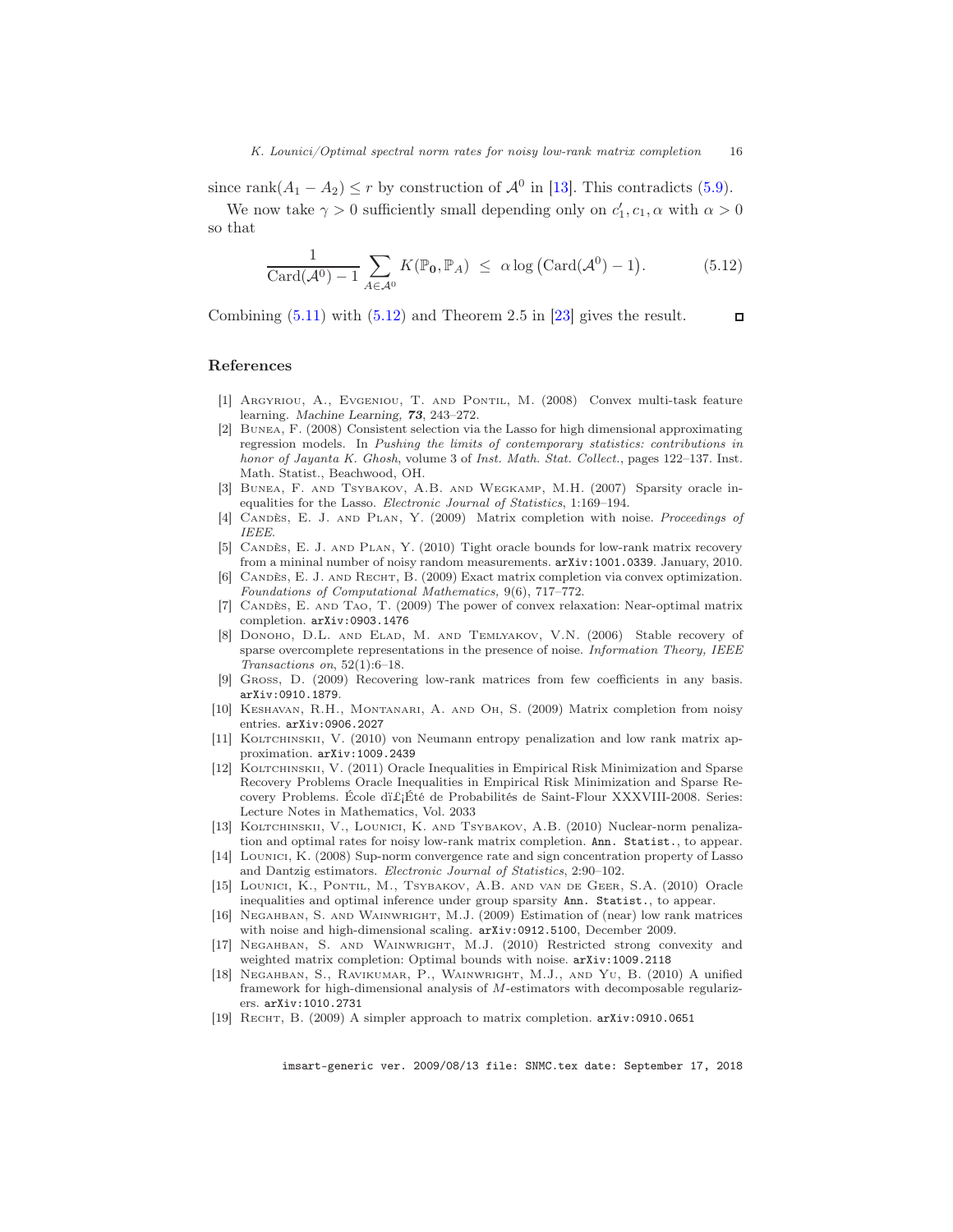since rank $(A_1 - A_2) \le r$  by construction of  $\mathcal{A}^0$  in [\[13\]](#page-15-0). This contradicts [\(5.9\)](#page-14-2).

We now take  $\gamma > 0$  sufficiently small depending only on  $c'_1, c_1, \alpha$  with  $\alpha > 0$ so that

<span id="page-15-17"></span>
$$
\frac{1}{\text{Card}(\mathcal{A}^0) - 1} \sum_{A \in \mathcal{A}^0} K(\mathbb{P}_0, \mathbb{P}_A) \le \alpha \log \left( \text{Card}(\mathcal{A}^0) - 1 \right). \tag{5.12}
$$

Combining  $(5.11)$  with  $(5.12)$  and Theorem 2.5 in [\[23\]](#page-16-4) gives the result.  $\Box$ 

## References

- <span id="page-15-6"></span>[1] Argyriou, A., Evgeniou, T. and Pontil, M. (2008) Convex multi-task feature learning. Machine Learning, 73, 243–272.
- <span id="page-15-14"></span>[2] Bunea, F. (2008) Consistent selection via the Lasso for high dimensional approximating regression models. In *Pushing the limits of contemporary statistics: contributions in honor of Jayanta K. Ghosh*, volume 3 of *Inst. Math. Stat. Collect.*, pages 122–137. Inst. Math. Statist., Beachwood, OH.
- <span id="page-15-15"></span>[3] Bunea, F. and Tsybakov, A.B. and Wegkamp, M.H. (2007) Sparsity oracle inequalities for the Lasso. *Electronic Journal of Statistics*, 1:169–194.
- [4] Candès, E. J. and Plan, Y. (2009) Matrix completion with noise. *Proceedings of IEEE*.
- <span id="page-15-8"></span>[5] Candès, E. J. and Plan, Y. (2010) Tight oracle bounds for low-rank matrix recovery from a mininal number of noisy random measurements. arXiv:1001.0339. January, 2010.
- <span id="page-15-10"></span>[6] Candès, E. J. and Recht, B. (2009) Exact matrix completion via convex optimization. *Foundations of Computational Mathematics,* 9(6), 717–772.
- <span id="page-15-3"></span>[7] Candès, E. and Tao, T. (2009) The power of convex relaxation: Near-optimal matrix completion. arXiv:0903.1476
- <span id="page-15-13"></span>[8] DONOHO, D.L. AND ELAD, M. AND TEMLYAKOV, V.N. (2006) Stable recovery of sparse overcomplete representations in the presence of noise. *Information Theory, IEEE Transactions on*, 52(1):6–18.
- <span id="page-15-1"></span>[9] Gross, D. (2009) Recovering low-rank matrices from few coefficients in any basis. arXiv:0910.1879.
- <span id="page-15-4"></span>[10] Keshavan, R.H., Montanari, A. and Oh, S. (2009) Matrix completion from noisy entries. arXiv:0906.2027
- <span id="page-15-5"></span>[11] KOLTCHINSKII, V. (2010) von Neumann entropy penalization and low rank matrix approximation. arXiv:1009.2439
- <span id="page-15-12"></span>[12] KOLTCHINSKII, V. (2011) Oracle Inequalities in Empirical Risk Minimization and Sparse Recovery Problems Oracle Inequalities in Empirical Risk Minimization and Sparse Recovery Problems. École dÉté de Probabilités de Saint-Flour XXXVIII-2008. Series: Lecture Notes in Mathematics, Vol. 2033
- <span id="page-15-0"></span>[13] KOLTCHINSKII, V., LOUNICI, K. AND TSYBAKOV, A.B. (2010) Nuclear-norm penalization and optimal rates for noisy low-rank matrix completion. Ann. Statist., to appear.
- <span id="page-15-16"></span>[14] Lounici, K. (2008) Sup-norm convergence rate and sign concentration property of Lasso and Dantzig estimators. *Electronic Journal of Statistics*, 2:90–102.
- <span id="page-15-7"></span>[15] Lounici, K., Pontil, M., Tsybakov, A.B. and van de Geer, S.A. (2010) Oracle inequalities and optimal inference under group sparsity Ann. Statist., to appear.
- <span id="page-15-9"></span>[16] Negahban, S. and Wainwright, M.J. (2009) Estimation of (near) low rank matrices with noise and high-dimensional scaling. arXiv:0912.5100, December 2009.
- [17] Negahban, S. and Wainwright, M.J. (2010) Restricted strong convexity and weighted matrix completion: Optimal bounds with noise. arXiv:1009.2118
- <span id="page-15-11"></span>[18] Negahban, S., Ravikumar, P., Wainwright, M.J., and Yu, B. (2010) A unified framework for high-dimensional analysis of M-estimators with decomposable regularizers. arXiv:1010.2731
- <span id="page-15-2"></span>[19] RECHT, B. (2009) A simpler approach to matrix completion.  $arXiv:0910.0651$